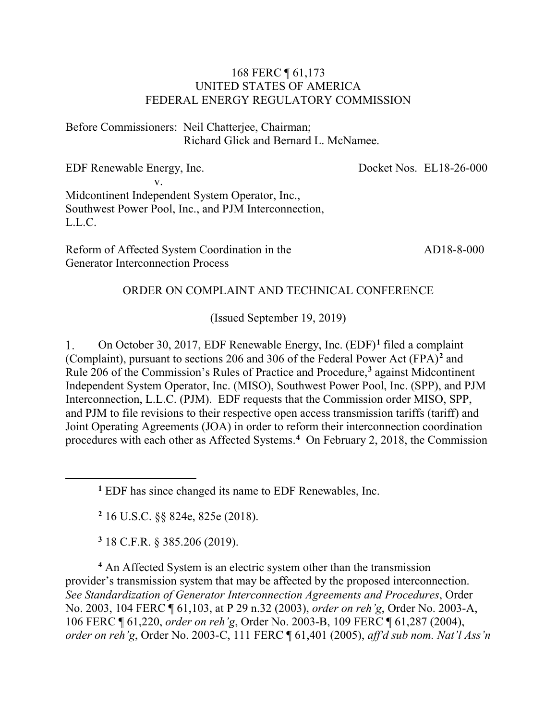#### 168 FERC ¶ 61,173 UNITED STATES OF AMERICA FEDERAL ENERGY REGULATORY COMMISSION

Before Commissioners: Neil Chatterjee, Chairman; Richard Glick and Bernard L. McNamee.

EDF Renewable Energy, Inc. v. Midcontinent Independent System Operator, Inc., Southwest Power Pool, Inc., and PJM Interconnection, L.L.C. Docket Nos. EL18-26-000 AD18-8-000

Reform of Affected System Coordination in the Generator Interconnection Process

#### ORDER ON COMPLAINT AND TECHNICAL CONFERENCE

(Issued September 19, 2019)

1. On October 30, 2017, EDF Renewable Energy, Inc. (EDF)**[1](#page-0-0)** filed a complaint (Complaint), pursuant to sections 206 and 306 of the Federal Power Act (FPA)**[2](#page-0-1)** and Rule 206 of the Commission's Rules of Practice and Procedure, **[3](#page-0-2)** against Midcontinent Independent System Operator, Inc. (MISO), Southwest Power Pool, Inc. (SPP), and PJM Interconnection, L.L.C. (PJM). EDF requests that the Commission order MISO, SPP, and PJM to file revisions to their respective open access transmission tariffs (tariff) and Joint Operating Agreements (JOA) in order to reform their interconnection coordination procedures with each other as Affected Systems. **[4](#page-0-3)** On February 2, 2018, the Commission

**<sup>2</sup>** 16 U.S.C. §§ 824e, 825e (2018).

**<sup>3</sup>** 18 C.F.R. § 385.206 (2019).

<span id="page-0-1"></span><span id="page-0-0"></span> $\overline{a}$ 

<span id="page-0-3"></span><span id="page-0-2"></span>**<sup>4</sup>** An Affected System is an electric system other than the transmission provider's transmission system that may be affected by the proposed interconnection. *See Standardization of Generator Interconnection Agreements and Procedures*, Order No. 2003, 104 FERC ¶ 61,103, at P 29 n.32 (2003), *order on reh'g*, Order No. 2003-A, 106 FERC ¶ 61,220, *order on reh'g*, Order No. 2003-B, 109 FERC ¶ 61,287 (2004), *order on reh'g*, Order No. 2003-C, 111 FERC ¶ 61,401 (2005), *aff'd sub nom. Nat'l Ass'n* 

**<sup>1</sup>** EDF has since changed its name to EDF Renewables, Inc.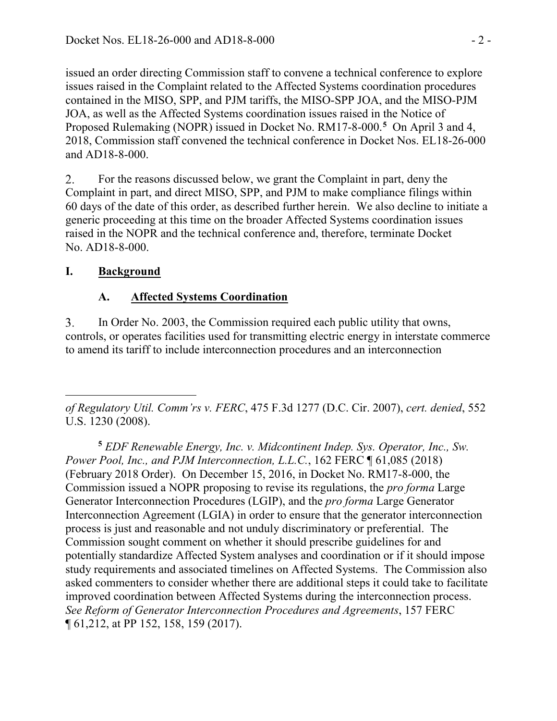issued an order directing Commission staff to convene a technical conference to explore issues raised in the Complaint related to the Affected Systems coordination procedures contained in the MISO, SPP, and PJM tariffs, the MISO-SPP JOA, and the MISO-PJM JOA, as well as the Affected Systems coordination issues raised in the Notice of Proposed Rulemaking (NOPR) issued in Docket No. RM17-8-000.<sup>[5](#page-1-0)</sup> On April 3 and 4, 2018, Commission staff convened the technical conference in Docket Nos. EL18-26-000 and AD18-8-000.

For the reasons discussed below, we grant the Complaint in part, deny the 2. Complaint in part, and direct MISO, SPP, and PJM to make compliance filings within 60 days of the date of this order, as described further herein. We also decline to initiate a generic proceeding at this time on the broader Affected Systems coordination issues raised in the NOPR and the technical conference and, therefore, terminate Docket No. AD18-8-000.

### **I. Background**

# **A. Affected Systems Coordination**

In Order No. 2003, the Commission required each public utility that owns, 3. controls, or operates facilities used for transmitting electric energy in interstate commerce to amend its tariff to include interconnection procedures and an interconnection

 $\overline{a}$ *of Regulatory Util. Comm'rs v. FERC*, 475 F.3d 1277 (D.C. Cir. 2007), *cert. denied*, 552 U.S. 1230 (2008).

<span id="page-1-0"></span>**<sup>5</sup>** *EDF Renewable Energy, Inc. v. Midcontinent Indep. Sys. Operator, Inc., Sw. Power Pool, Inc., and PJM Interconnection, L.L.C.*, 162 FERC ¶ 61,085 (2018) (February 2018 Order). On December 15, 2016, in Docket No. RM17-8-000, the Commission issued a NOPR proposing to revise its regulations, the *pro forma* Large Generator Interconnection Procedures (LGIP), and the *pro forma* Large Generator Interconnection Agreement (LGIA) in order to ensure that the generator interconnection process is just and reasonable and not unduly discriminatory or preferential. The Commission sought comment on whether it should prescribe guidelines for and potentially standardize Affected System analyses and coordination or if it should impose study requirements and associated timelines on Affected Systems. The Commission also asked commenters to consider whether there are additional steps it could take to facilitate improved coordination between Affected Systems during the interconnection process. *See Reform of Generator Interconnection Procedures and Agreements*, 157 FERC ¶ 61,212, at PP 152, 158, 159 (2017).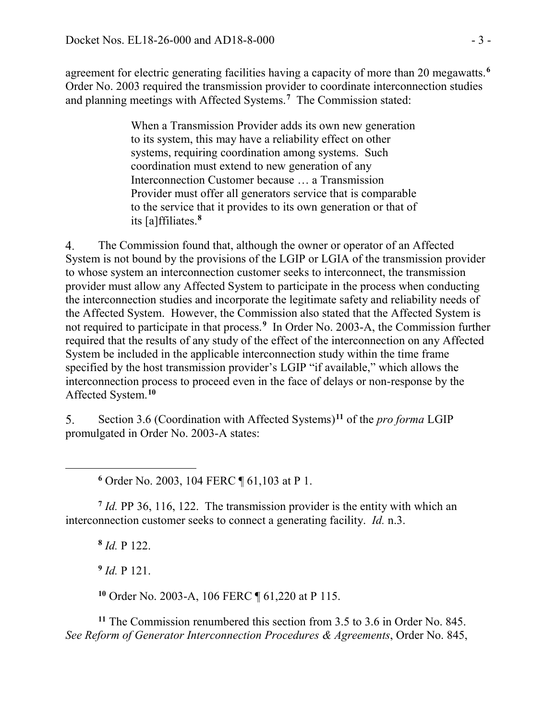agreement for electric generating facilities having a capacity of more than 20 megawatts.**[6](#page-2-0)** Order No. 2003 required the transmission provider to coordinate interconnection studies and planning meetings with Affected Systems.**[7](#page-2-1)** The Commission stated:

> When a Transmission Provider adds its own new generation to its system, this may have a reliability effect on other systems, requiring coordination among systems. Such coordination must extend to new generation of any Interconnection Customer because … a Transmission Provider must offer all generators service that is comparable to the service that it provides to its own generation or that of its [a]ffiliates.**[8](#page-2-2)**

4. The Commission found that, although the owner or operator of an Affected System is not bound by the provisions of the LGIP or LGIA of the transmission provider to whose system an interconnection customer seeks to interconnect, the transmission provider must allow any Affected System to participate in the process when conducting the interconnection studies and incorporate the legitimate safety and reliability needs of the Affected System. However, the Commission also stated that the Affected System is not required to participate in that process.**[9](#page-2-3)** In Order No. 2003-A, the Commission further required that the results of any study of the effect of the interconnection on any Affected System be included in the applicable interconnection study within the time frame specified by the host transmission provider's LGIP "if available," which allows the interconnection process to proceed even in the face of delays or non-response by the Affected System.**[10](#page-2-4)**

Section 3.6 (Coordination with Affected Systems)**[11](#page-2-5)** of the *pro forma* LGIP  $5<sub>1</sub>$ promulgated in Order No. 2003-A states:

**<sup>6</sup>** Order No. 2003, 104 FERC ¶ 61,103 at P 1.

<span id="page-2-2"></span><span id="page-2-1"></span>**<sup>7</sup>** *Id.* PP 36, 116, 122. The transmission provider is the entity with which an interconnection customer seeks to connect a generating facility. *Id.* n.3.

**<sup>8</sup>** *Id.* P 122.

<span id="page-2-0"></span> $\overline{a}$ 

**<sup>9</sup>** *Id.* P 121.

**<sup>10</sup>** Order No. 2003-A, 106 FERC ¶ 61,220 at P 115.

<span id="page-2-5"></span><span id="page-2-4"></span><span id="page-2-3"></span>**<sup>11</sup>** The Commission renumbered this section from 3.5 to 3.6 in Order No. 845. *See Reform of Generator Interconnection Procedures & Agreements*, Order No. 845,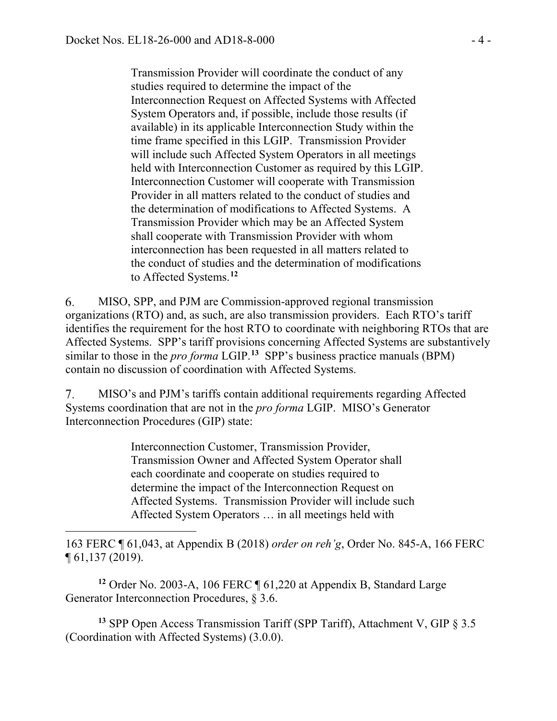$\overline{a}$ 

Transmission Provider will coordinate the conduct of any studies required to determine the impact of the Interconnection Request on Affected Systems with Affected System Operators and, if possible, include those results (if available) in its applicable Interconnection Study within the time frame specified in this LGIP. Transmission Provider will include such Affected System Operators in all meetings held with Interconnection Customer as required by this LGIP. Interconnection Customer will cooperate with Transmission Provider in all matters related to the conduct of studies and the determination of modifications to Affected Systems. A Transmission Provider which may be an Affected System shall cooperate with Transmission Provider with whom interconnection has been requested in all matters related to the conduct of studies and the determination of modifications to Affected Systems.**[12](#page-3-0)**

6. MISO, SPP, and PJM are Commission-approved regional transmission organizations (RTO) and, as such, are also transmission providers. Each RTO's tariff identifies the requirement for the host RTO to coordinate with neighboring RTOs that are Affected Systems. SPP's tariff provisions concerning Affected Systems are substantively similar to those in the *pro forma* LGIP.**[13](#page-3-1)** SPP's business practice manuals (BPM) contain no discussion of coordination with Affected Systems.

7. MISO's and PJM's tariffs contain additional requirements regarding Affected Systems coordination that are not in the *pro forma* LGIP. MISO's Generator Interconnection Procedures (GIP) state:

> Interconnection Customer, Transmission Provider, Transmission Owner and Affected System Operator shall each coordinate and cooperate on studies required to determine the impact of the Interconnection Request on Affected Systems. Transmission Provider will include such Affected System Operators … in all meetings held with

163 FERC ¶ 61,043, at Appendix B (2018) *order on reh'g*, Order No. 845-A, 166 FERC ¶ 61,137 (2019).

<span id="page-3-0"></span>**<sup>12</sup>** Order No. 2003-A, 106 FERC ¶ 61,220 at Appendix B, Standard Large Generator Interconnection Procedures, § 3.6.

<span id="page-3-1"></span>**<sup>13</sup>** SPP Open Access Transmission Tariff (SPP Tariff), Attachment V, GIP § 3.5 (Coordination with Affected Systems) (3.0.0).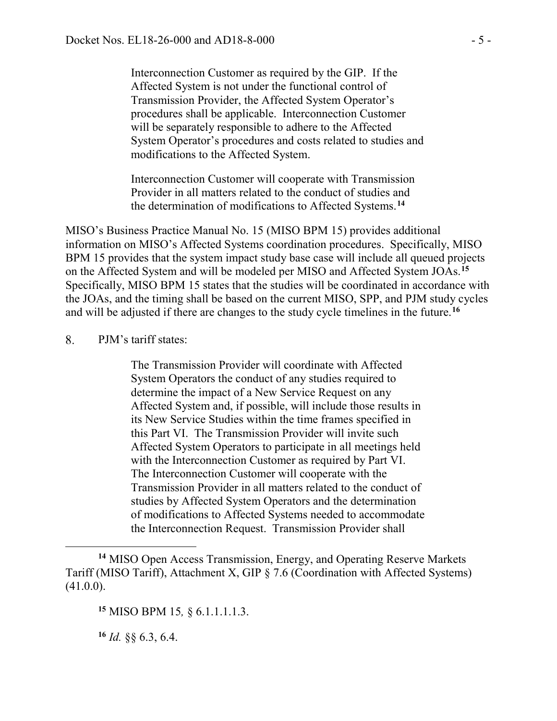Interconnection Customer as required by the GIP. If the Affected System is not under the functional control of Transmission Provider, the Affected System Operator's procedures shall be applicable. Interconnection Customer will be separately responsible to adhere to the Affected System Operator's procedures and costs related to studies and modifications to the Affected System.

Interconnection Customer will cooperate with Transmission Provider in all matters related to the conduct of studies and the determination of modifications to Affected Systems.**[14](#page-4-0)**

MISO's Business Practice Manual No. 15 (MISO BPM 15) provides additional information on MISO's Affected Systems coordination procedures. Specifically, MISO BPM 15 provides that the system impact study base case will include all queued projects on the Affected System and will be modeled per MISO and Affected System JOAs.**[15](#page-4-1)** Specifically, MISO BPM 15 states that the studies will be coordinated in accordance with the JOAs, and the timing shall be based on the current MISO, SPP, and PJM study cycles and will be adjusted if there are changes to the study cycle timelines in the future.**[16](#page-4-2)**

#### 8. PJM's tariff states:

The Transmission Provider will coordinate with Affected System Operators the conduct of any studies required to determine the impact of a New Service Request on any Affected System and, if possible, will include those results in its New Service Studies within the time frames specified in this Part VI. The Transmission Provider will invite such Affected System Operators to participate in all meetings held with the Interconnection Customer as required by Part VI. The Interconnection Customer will cooperate with the Transmission Provider in all matters related to the conduct of studies by Affected System Operators and the determination of modifications to Affected Systems needed to accommodate the Interconnection Request. Transmission Provider shall

<span id="page-4-2"></span>**<sup>16</sup>** *Id.* §§ 6.3, 6.4.

 $\overline{a}$ 

<span id="page-4-1"></span><span id="page-4-0"></span>**<sup>14</sup>** MISO Open Access Transmission, Energy, and Operating Reserve Markets Tariff (MISO Tariff), Attachment X, GIP § 7.6 (Coordination with Affected Systems) (41.0.0).

**<sup>15</sup>** MISO BPM 15*,* § 6.1.1.1.1.3.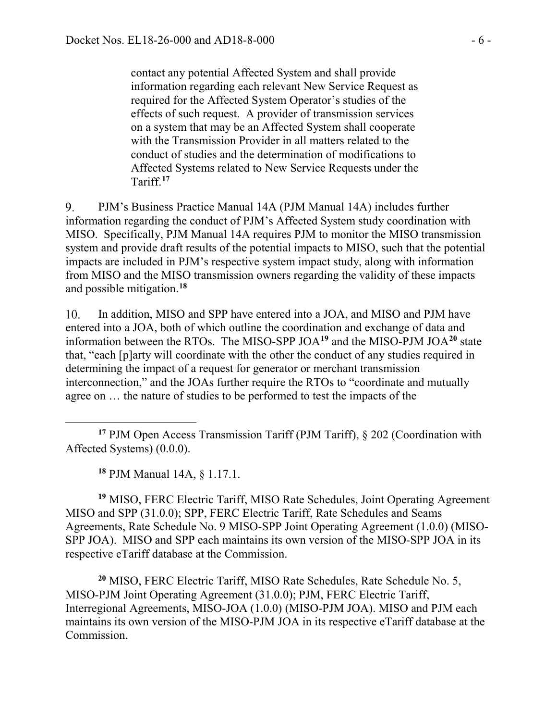contact any potential Affected System and shall provide information regarding each relevant New Service Request as required for the Affected System Operator's studies of the effects of such request. A provider of transmission services on a system that may be an Affected System shall cooperate with the Transmission Provider in all matters related to the conduct of studies and the determination of modifications to Affected Systems related to New Service Requests under the Tariff.**[17](#page-5-0)**

 $9<sub>1</sub>$ PJM's Business Practice Manual 14A (PJM Manual 14A) includes further information regarding the conduct of PJM's Affected System study coordination with MISO. Specifically, PJM Manual 14A requires PJM to monitor the MISO transmission system and provide draft results of the potential impacts to MISO, such that the potential impacts are included in PJM's respective system impact study, along with information from MISO and the MISO transmission owners regarding the validity of these impacts and possible mitigation.**[18](#page-5-1)**

10. In addition, MISO and SPP have entered into a JOA, and MISO and PJM have entered into a JOA, both of which outline the coordination and exchange of data and information between the RTOs. The MISO-SPP JOA**[19](#page-5-2)** and the MISO-PJM JOA**[20](#page-5-3)** state that, "each [p]arty will coordinate with the other the conduct of any studies required in determining the impact of a request for generator or merchant transmission interconnection," and the JOAs further require the RTOs to "coordinate and mutually agree on … the nature of studies to be performed to test the impacts of the

**<sup>18</sup>** PJM Manual 14A, § 1.17.1.

 $\overline{a}$ 

<span id="page-5-2"></span><span id="page-5-1"></span>**<sup>19</sup>** MISO, FERC Electric Tariff, MISO Rate Schedules, Joint Operating Agreement MISO and SPP (31.0.0); SPP, FERC Electric Tariff, Rate Schedules and Seams Agreements, Rate Schedule No. 9 MISO-SPP Joint Operating Agreement (1.0.0) (MISO-SPP JOA). MISO and SPP each maintains its own version of the MISO-SPP JOA in its respective eTariff database at the Commission.

<span id="page-5-3"></span>**<sup>20</sup>** MISO, FERC Electric Tariff, MISO Rate Schedules, Rate Schedule No. 5, MISO-PJM Joint Operating Agreement (31.0.0); PJM, FERC Electric Tariff, Interregional Agreements, MISO-JOA (1.0.0) (MISO-PJM JOA). MISO and PJM each maintains its own version of the MISO-PJM JOA in its respective eTariff database at the Commission.

<span id="page-5-0"></span>**<sup>17</sup>** PJM Open Access Transmission Tariff (PJM Tariff), § 202 (Coordination with Affected Systems) (0.0.0).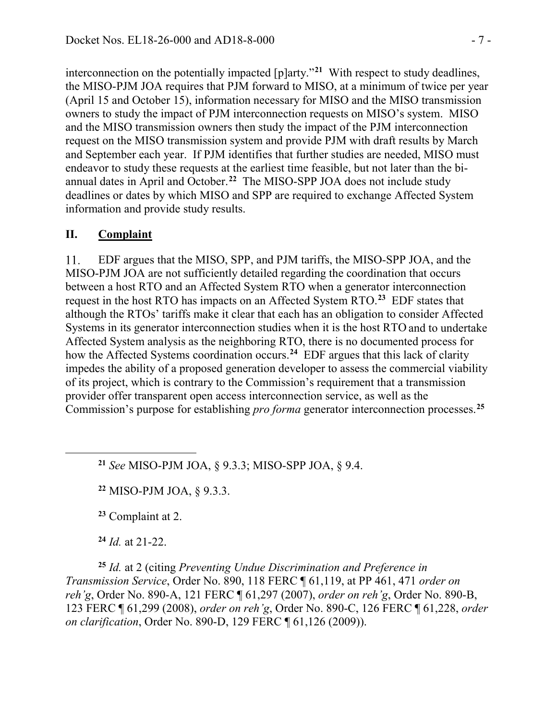interconnection on the potentially impacted [p]arty."**[21](#page-6-0)** With respect to study deadlines, the MISO-PJM JOA requires that PJM forward to MISO, at a minimum of twice per year (April 15 and October 15), information necessary for MISO and the MISO transmission owners to study the impact of PJM interconnection requests on MISO's system. MISO and the MISO transmission owners then study the impact of the PJM interconnection request on the MISO transmission system and provide PJM with draft results by March and September each year. If PJM identifies that further studies are needed, MISO must endeavor to study these requests at the earliest time feasible, but not later than the biannual dates in April and October.**[22](#page-6-1)** The MISO-SPP JOA does not include study deadlines or dates by which MISO and SPP are required to exchange Affected System information and provide study results.

#### **II. Complaint**

EDF argues that the MISO, SPP, and PJM tariffs, the MISO-SPP JOA, and the 11. MISO-PJM JOA are not sufficiently detailed regarding the coordination that occurs between a host RTO and an Affected System RTO when a generator interconnection request in the host RTO has impacts on an Affected System RTO.**[23](#page-6-2)** EDF states that although the RTOs' tariffs make it clear that each has an obligation to consider Affected Systems in its generator interconnection studies when it is the host RTO and to undertake Affected System analysis as the neighboring RTO, there is no documented process for how the Affected Systems coordination occurs.**[24](#page-6-3)** EDF argues that this lack of clarity impedes the ability of a proposed generation developer to assess the commercial viability of its project, which is contrary to the Commission's requirement that a transmission provider offer transparent open access interconnection service, as well as the Commission's purpose for establishing *pro forma* generator interconnection processes.**[25](#page-6-4)**

**<sup>21</sup>** *See* MISO-PJM JOA, § 9.3.3; MISO-SPP JOA, § 9.4.

**<sup>22</sup>** MISO-PJM JOA, § 9.3.3.

**<sup>23</sup>** Complaint at 2.

**<sup>24</sup>** *Id.* at 21-22.

<span id="page-6-1"></span><span id="page-6-0"></span> $\overline{a}$ 

<span id="page-6-4"></span><span id="page-6-3"></span><span id="page-6-2"></span>**<sup>25</sup>** *Id.* at 2 (citing *Preventing Undue Discrimination and Preference in Transmission Service*, Order No. 890, 118 FERC ¶ 61,119, at PP 461, 471 *order on reh'g*, Order No. 890-A, 121 FERC ¶ 61,297 (2007), *order on reh'g*, Order No. 890-B, 123 FERC ¶ 61,299 (2008), *order on reh'g*, Order No. 890-C, 126 FERC ¶ 61,228, *order on clarification*, Order No. 890-D, 129 FERC ¶ 61,126 (2009)).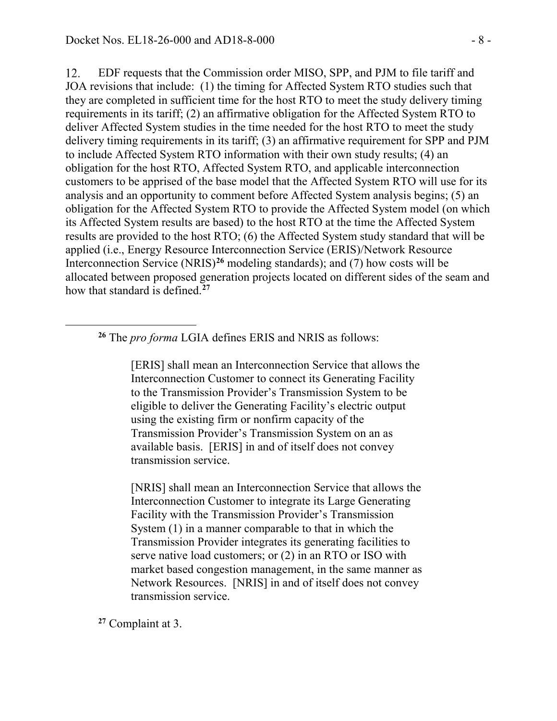12. EDF requests that the Commission order MISO, SPP, and PJM to file tariff and JOA revisions that include: (1) the timing for Affected System RTO studies such that they are completed in sufficient time for the host RTO to meet the study delivery timing requirements in its tariff; (2) an affirmative obligation for the Affected System RTO to deliver Affected System studies in the time needed for the host RTO to meet the study delivery timing requirements in its tariff; (3) an affirmative requirement for SPP and PJM to include Affected System RTO information with their own study results; (4) an obligation for the host RTO, Affected System RTO, and applicable interconnection customers to be apprised of the base model that the Affected System RTO will use for its analysis and an opportunity to comment before Affected System analysis begins; (5) an obligation for the Affected System RTO to provide the Affected System model (on which its Affected System results are based) to the host RTO at the time the Affected System results are provided to the host RTO; (6) the Affected System study standard that will be applied (i.e., Energy Resource Interconnection Service (ERIS)/Network Resource Interconnection Service (NRIS)**[26](#page-7-0)** modeling standards); and (7) how costs will be allocated between proposed generation projects located on different sides of the seam and how that standard is defined. **[27](#page-7-1)**

**<sup>26</sup>** The *pro forma* LGIA defines ERIS and NRIS as follows:

[ERIS] shall mean an Interconnection Service that allows the Interconnection Customer to connect its Generating Facility to the Transmission Provider's Transmission System to be eligible to deliver the Generating Facility's electric output using the existing firm or nonfirm capacity of the Transmission Provider's Transmission System on an as available basis. [ERIS] in and of itself does not convey transmission service.

[NRIS] shall mean an Interconnection Service that allows the Interconnection Customer to integrate its Large Generating Facility with the Transmission Provider's Transmission System (1) in a manner comparable to that in which the Transmission Provider integrates its generating facilities to serve native load customers; or (2) in an RTO or ISO with market based congestion management, in the same manner as Network Resources. [NRIS] in and of itself does not convey transmission service.

<span id="page-7-1"></span>**<sup>27</sup>** Complaint at 3.

<span id="page-7-0"></span> $\overline{a}$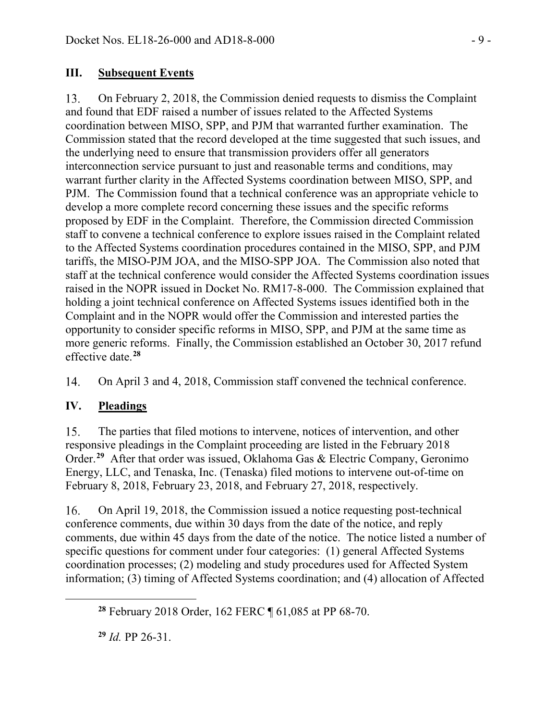### **III. Subsequent Events**

On February 2, 2018, the Commission denied requests to dismiss the Complaint 13. and found that EDF raised a number of issues related to the Affected Systems coordination between MISO, SPP, and PJM that warranted further examination. The Commission stated that the record developed at the time suggested that such issues, and the underlying need to ensure that transmission providers offer all generators interconnection service pursuant to just and reasonable terms and conditions, may warrant further clarity in the Affected Systems coordination between MISO, SPP, and PJM. The Commission found that a technical conference was an appropriate vehicle to develop a more complete record concerning these issues and the specific reforms proposed by EDF in the Complaint. Therefore, the Commission directed Commission staff to convene a technical conference to explore issues raised in the Complaint related to the Affected Systems coordination procedures contained in the MISO, SPP, and PJM tariffs, the MISO-PJM JOA, and the MISO-SPP JOA. The Commission also noted that staff at the technical conference would consider the Affected Systems coordination issues raised in the NOPR issued in Docket No. RM17-8-000. The Commission explained that holding a joint technical conference on Affected Systems issues identified both in the Complaint and in the NOPR would offer the Commission and interested parties the opportunity to consider specific reforms in MISO, SPP, and PJM at the same time as more generic reforms. Finally, the Commission established an October 30, 2017 refund effective date.**[28](#page-8-0)**

On April 3 and 4, 2018, Commission staff convened the technical conference. 14.

# **IV. Pleadings**

15. The parties that filed motions to intervene, notices of intervention, and other responsive pleadings in the Complaint proceeding are listed in the February 2018 Order.**[29](#page-8-1)** After that order was issued, Oklahoma Gas & Electric Company, Geronimo Energy, LLC, and Tenaska, Inc. (Tenaska) filed motions to intervene out-of-time on February 8, 2018, February 23, 2018, and February 27, 2018, respectively.

16. On April 19, 2018, the Commission issued a notice requesting post-technical conference comments, due within 30 days from the date of the notice, and reply comments, due within 45 days from the date of the notice. The notice listed a number of specific questions for comment under four categories: (1) general Affected Systems coordination processes; (2) modeling and study procedures used for Affected System information; (3) timing of Affected Systems coordination; and (4) allocation of Affected

**<sup>29</sup>** *Id.* PP 26-31.

<span id="page-8-1"></span><span id="page-8-0"></span> $\overline{a}$ 

**<sup>28</sup>** February 2018 Order, 162 FERC ¶ 61,085 at PP 68-70.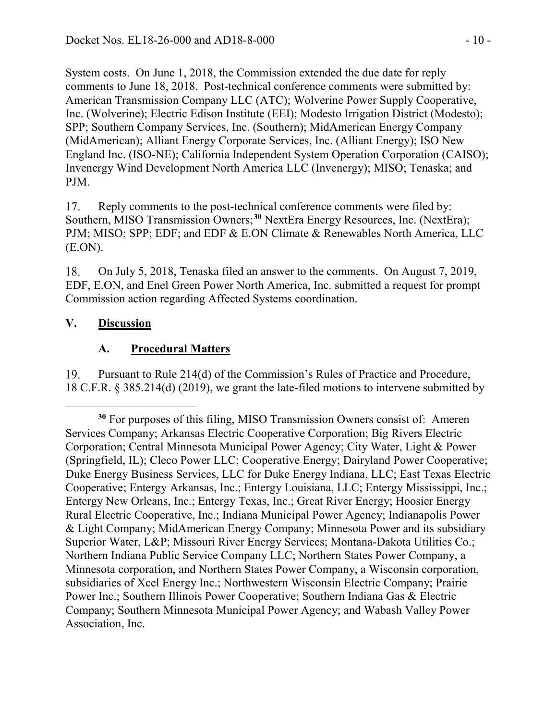System costs. On June 1, 2018, the Commission extended the due date for reply comments to June 18, 2018. Post-technical conference comments were submitted by: American Transmission Company LLC (ATC); Wolverine Power Supply Cooperative, Inc. (Wolverine); Electric Edison Institute (EEI); Modesto Irrigation District (Modesto); SPP; Southern Company Services, Inc. (Southern); MidAmerican Energy Company (MidAmerican); Alliant Energy Corporate Services, Inc. (Alliant Energy); ISO New England Inc. (ISO-NE); California Independent System Operation Corporation (CAISO); Invenergy Wind Development North America LLC (Invenergy); MISO; Tenaska; and PJM.

Reply comments to the post-technical conference comments were filed by: 17. Southern, MISO Transmission Owners;**[30](#page-9-0)** NextEra Energy Resources, Inc. (NextEra); PJM; MISO; SPP; EDF; and EDF & E.ON Climate & Renewables North America, LLC (E.ON).

On July 5, 2018, Tenaska filed an answer to the comments. On August 7, 2019, 18. EDF, E.ON, and Enel Green Power North America, Inc. submitted a request for prompt Commission action regarding Affected Systems coordination.

### **V. Discussion**

### **A. Procedural Matters**

19. Pursuant to Rule 214(d) of the Commission's Rules of Practice and Procedure, 18 C.F.R. § 385.214(d) (2019), we grant the late-filed motions to intervene submitted by

<span id="page-9-0"></span> $\overline{a}$ **<sup>30</sup>** For purposes of this filing, MISO Transmission Owners consist of: Ameren Services Company; Arkansas Electric Cooperative Corporation; Big Rivers Electric Corporation; Central Minnesota Municipal Power Agency; City Water, Light & Power (Springfield, IL); Cleco Power LLC; Cooperative Energy; Dairyland Power Cooperative; Duke Energy Business Services, LLC for Duke Energy Indiana, LLC; East Texas Electric Cooperative; Entergy Arkansas, Inc.; Entergy Louisiana, LLC; Entergy Mississippi, Inc.; Entergy New Orleans, Inc.; Entergy Texas, Inc.; Great River Energy; Hoosier Energy Rural Electric Cooperative, Inc.; Indiana Municipal Power Agency; Indianapolis Power & Light Company; MidAmerican Energy Company; Minnesota Power and its subsidiary Superior Water, L&P; Missouri River Energy Services; Montana-Dakota Utilities Co.; Northern Indiana Public Service Company LLC; Northern States Power Company, a Minnesota corporation, and Northern States Power Company, a Wisconsin corporation, subsidiaries of Xcel Energy Inc.; Northwestern Wisconsin Electric Company; Prairie Power Inc.; Southern Illinois Power Cooperative; Southern Indiana Gas & Electric Company; Southern Minnesota Municipal Power Agency; and Wabash Valley Power Association, Inc.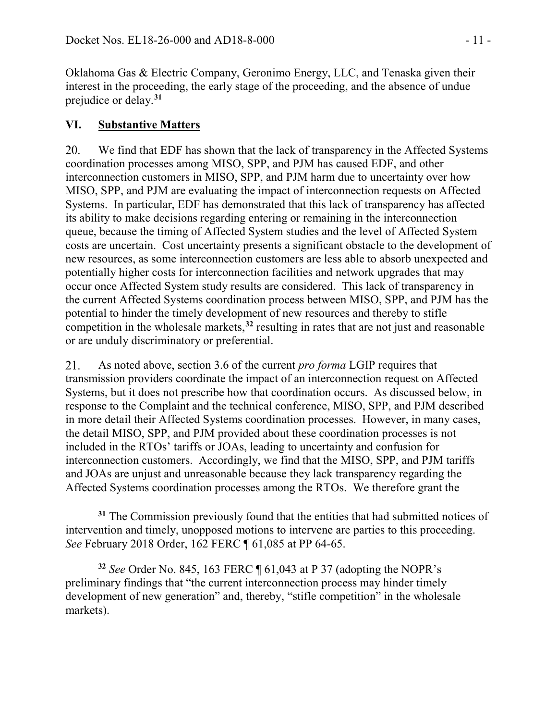Oklahoma Gas & Electric Company, Geronimo Energy, LLC, and Tenaska given their interest in the proceeding, the early stage of the proceeding, and the absence of undue prejudice or delay.**[31](#page-10-0)**

### **VI. Substantive Matters**

 $\overline{a}$ 

20. We find that EDF has shown that the lack of transparency in the Affected Systems coordination processes among MISO, SPP, and PJM has caused EDF, and other interconnection customers in MISO, SPP, and PJM harm due to uncertainty over how MISO, SPP, and PJM are evaluating the impact of interconnection requests on Affected Systems. In particular, EDF has demonstrated that this lack of transparency has affected its ability to make decisions regarding entering or remaining in the interconnection queue, because the timing of Affected System studies and the level of Affected System costs are uncertain. Cost uncertainty presents a significant obstacle to the development of new resources, as some interconnection customers are less able to absorb unexpected and potentially higher costs for interconnection facilities and network upgrades that may occur once Affected System study results are considered. This lack of transparency in the current Affected Systems coordination process between MISO, SPP, and PJM has the potential to hinder the timely development of new resources and thereby to stifle competition in the wholesale markets,**[32](#page-10-1)** resulting in rates that are not just and reasonable or are unduly discriminatory or preferential.

21. As noted above, section 3.6 of the current *pro forma* LGIP requires that transmission providers coordinate the impact of an interconnection request on Affected Systems, but it does not prescribe how that coordination occurs. As discussed below, in response to the Complaint and the technical conference, MISO, SPP, and PJM described in more detail their Affected Systems coordination processes. However, in many cases, the detail MISO, SPP, and PJM provided about these coordination processes is not included in the RTOs' tariffs or JOAs, leading to uncertainty and confusion for interconnection customers. Accordingly, we find that the MISO, SPP, and PJM tariffs and JOAs are unjust and unreasonable because they lack transparency regarding the Affected Systems coordination processes among the RTOs. We therefore grant the

<span id="page-10-1"></span>**<sup>32</sup>** *See* Order No. 845, 163 FERC ¶ 61,043 at P 37 (adopting the NOPR's preliminary findings that "the current interconnection process may hinder timely development of new generation" and, thereby, "stifle competition" in the wholesale markets).

<span id="page-10-0"></span>**<sup>31</sup>** The Commission previously found that the entities that had submitted notices of intervention and timely, unopposed motions to intervene are parties to this proceeding. *See* February 2018 Order, 162 FERC ¶ 61,085 at PP 64-65.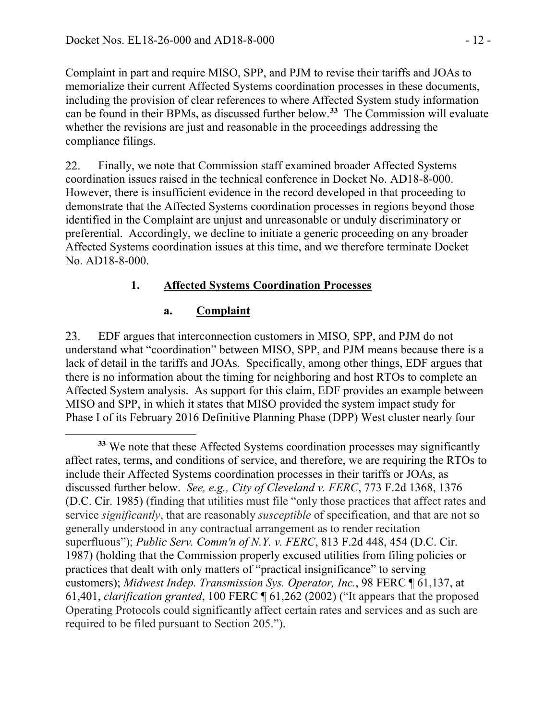Complaint in part and require MISO, SPP, and PJM to revise their tariffs and JOAs to memorialize their current Affected Systems coordination processes in these documents, including the provision of clear references to where Affected System study information can be found in their BPMs, as discussed further below. **[33](#page-11-0)** The Commission will evaluate whether the revisions are just and reasonable in the proceedings addressing the compliance filings.

22. Finally, we note that Commission staff examined broader Affected Systems coordination issues raised in the technical conference in Docket No. AD18-8-000. However, there is insufficient evidence in the record developed in that proceeding to demonstrate that the Affected Systems coordination processes in regions beyond those identified in the Complaint are unjust and unreasonable or unduly discriminatory or preferential. Accordingly, we decline to initiate a generic proceeding on any broader Affected Systems coordination issues at this time, and we therefore terminate Docket No. AD18-8-000.

### **1. Affected Systems Coordination Processes**

#### **a. Complaint**

 $\overline{a}$ 

23. EDF argues that interconnection customers in MISO, SPP, and PJM do not understand what "coordination" between MISO, SPP, and PJM means because there is a lack of detail in the tariffs and JOAs. Specifically, among other things, EDF argues that there is no information about the timing for neighboring and host RTOs to complete an Affected System analysis. As support for this claim, EDF provides an example between MISO and SPP, in which it states that MISO provided the system impact study for Phase I of its February 2016 Definitive Planning Phase (DPP) West cluster nearly four

<span id="page-11-0"></span>**<sup>33</sup>** We note that these Affected Systems coordination processes may significantly affect rates, terms, and conditions of service, and therefore, we are requiring the RTOs to include their Affected Systems coordination processes in their tariffs or JOAs, as discussed further below. *See, e.g., City of Cleveland v. FERC*, 773 F.2d 1368, 1376 (D.C. Cir. 1985) (finding that utilities must file "only those practices that affect rates and service *significantly*, that are reasonably *susceptible* of specification, and that are not so generally understood in any contractual arrangement as to render recitation superfluous"); *[Public Serv. Comm'n of N.Y. v. FERC](https://1.next.westlaw.com/Link/Document/FullText?findType=Y&serNum=1987029148&pubNum=0000350&originatingDoc=Idf65d3b2f89811e89a6efc60af1b5d9c&refType=RP&fi=co_pp_sp_350_454&originationContext=document&transitionType=DocumentItem&contextData=(sc.Keycite)#co_pp_sp_350_454)*, 813 F.2d 448, 454 (D.C. Cir. [1987\)](https://1.next.westlaw.com/Link/Document/FullText?findType=Y&serNum=1987029148&pubNum=0000350&originatingDoc=Idf65d3b2f89811e89a6efc60af1b5d9c&refType=RP&fi=co_pp_sp_350_454&originationContext=document&transitionType=DocumentItem&contextData=(sc.Keycite)#co_pp_sp_350_454) (holding that the Commission properly excused utilities from filing policies or practices that dealt with only matters of "practical insignificance" to serving customers); *[Midwest Indep. Transmission Sys. Operator, Inc.](https://1.next.westlaw.com/Link/Document/FullText?findType=Y&serNum=2002128790&pubNum=0000920&originatingDoc=Idf65d3b2f89811e89a6efc60af1b5d9c&refType=CA&fi=co_pp_sp_920_61401&originationContext=document&transitionType=DocumentItem&contextData=(sc.Keycite)#co_pp_sp_920_61401)*, 98 FERC ¶ 61,137, at [61,401,](https://1.next.westlaw.com/Link/Document/FullText?findType=Y&serNum=2002128790&pubNum=0000920&originatingDoc=Idf65d3b2f89811e89a6efc60af1b5d9c&refType=CA&fi=co_pp_sp_920_61401&originationContext=document&transitionType=DocumentItem&contextData=(sc.Keycite)#co_pp_sp_920_61401) *clarification granted*, [100 FERC ¶ 61,262 \(2002\)](https://1.next.westlaw.com/Link/Document/FullText?findType=Y&serNum=2002831487&pubNum=0000920&originatingDoc=Idf65d3b2f89811e89a6efc60af1b5d9c&refType=CA&originationContext=document&transitionType=DocumentItem&contextData=(sc.Keycite)) ("It appears that the proposed Operating Protocols could significantly affect certain rates and services and as such are required to be filed pursuant to Section 205.").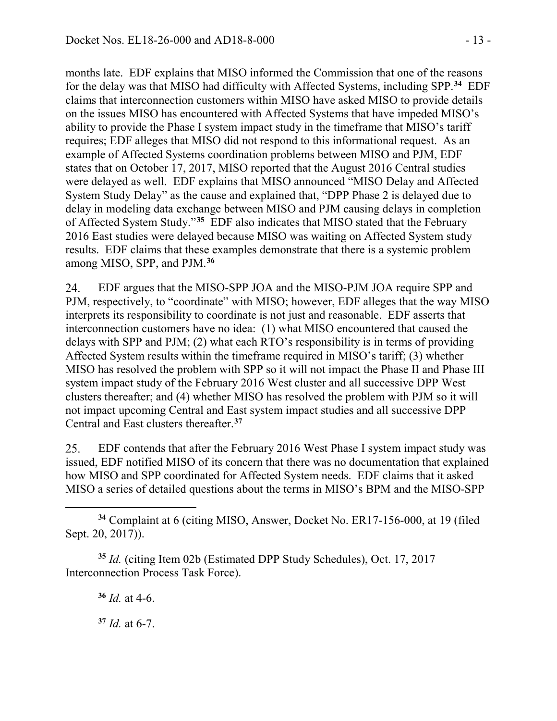months late. EDF explains that MISO informed the Commission that one of the reasons for the delay was that MISO had difficulty with Affected Systems, including SPP. **[34](#page-12-0)** EDF claims that interconnection customers within MISO have asked MISO to provide details on the issues MISO has encountered with Affected Systems that have impeded MISO's ability to provide the Phase I system impact study in the timeframe that MISO's tariff requires; EDF alleges that MISO did not respond to this informational request. As an example of Affected Systems coordination problems between MISO and PJM, EDF states that on October 17, 2017, MISO reported that the August 2016 Central studies were delayed as well. EDF explains that MISO announced "MISO Delay and Affected System Study Delay" as the cause and explained that, "DPP Phase 2 is delayed due to delay in modeling data exchange between MISO and PJM causing delays in completion of Affected System Study."**[35](#page-12-1)** EDF also indicates that MISO stated that the February 2016 East studies were delayed because MISO was waiting on Affected System study results. EDF claims that these examples demonstrate that there is a systemic problem among MISO, SPP, and PJM.**[36](#page-12-2)**

24. EDF argues that the MISO-SPP JOA and the MISO-PJM JOA require SPP and PJM, respectively, to "coordinate" with MISO; however, EDF alleges that the way MISO interprets its responsibility to coordinate is not just and reasonable. EDF asserts that interconnection customers have no idea: (1) what MISO encountered that caused the delays with SPP and PJM; (2) what each RTO's responsibility is in terms of providing Affected System results within the timeframe required in MISO's tariff; (3) whether MISO has resolved the problem with SPP so it will not impact the Phase II and Phase III system impact study of the February 2016 West cluster and all successive DPP West clusters thereafter; and (4) whether MISO has resolved the problem with PJM so it will not impact upcoming Central and East system impact studies and all successive DPP Central and East clusters thereafter.**[37](#page-12-3)**

25. EDF contends that after the February 2016 West Phase I system impact study was issued, EDF notified MISO of its concern that there was no documentation that explained how MISO and SPP coordinated for Affected System needs. EDF claims that it asked MISO a series of detailed questions about the terms in MISO's BPM and the MISO-SPP

<span id="page-12-0"></span> $\overline{a}$ **<sup>34</sup>** Complaint at 6 (citing MISO, Answer, Docket No. ER17-156-000, at 19 (filed Sept. 20, 2017)).

<span id="page-12-3"></span><span id="page-12-2"></span><span id="page-12-1"></span>**<sup>35</sup>** *Id.* (citing Item 02b (Estimated DPP Study Schedules), Oct. 17, 2017 Interconnection Process Task Force).

**<sup>36</sup>** *Id.* at 4-6.

**<sup>37</sup>** *Id.* at 6-7.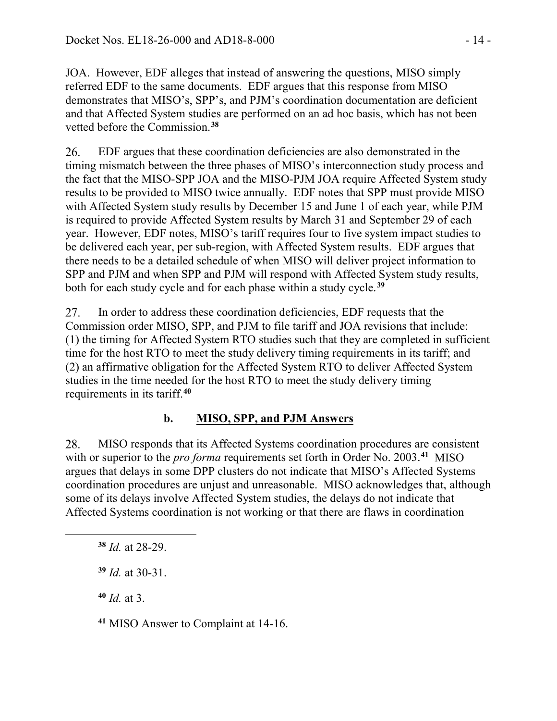JOA. However, EDF alleges that instead of answering the questions, MISO simply referred EDF to the same documents. EDF argues that this response from MISO demonstrates that MISO's, SPP's, and PJM's coordination documentation are deficient and that Affected System studies are performed on an ad hoc basis, which has not been vetted before the Commission. **[38](#page-13-0)**

26. EDF argues that these coordination deficiencies are also demonstrated in the timing mismatch between the three phases of MISO's interconnection study process and the fact that the MISO-SPP JOA and the MISO-PJM JOA require Affected System study results to be provided to MISO twice annually. EDF notes that SPP must provide MISO with Affected System study results by December 15 and June 1 of each year, while PJM is required to provide Affected System results by March 31 and September 29 of each year. However, EDF notes, MISO's tariff requires four to five system impact studies to be delivered each year, per sub-region, with Affected System results. EDF argues that there needs to be a detailed schedule of when MISO will deliver project information to SPP and PJM and when SPP and PJM will respond with Affected System study results, both for each study cycle and for each phase within a study cycle.**[39](#page-13-1)**

In order to address these coordination deficiencies, EDF requests that the 27. Commission order MISO, SPP, and PJM to file tariff and JOA revisions that include: (1) the timing for Affected System RTO studies such that they are completed in sufficient time for the host RTO to meet the study delivery timing requirements in its tariff; and (2) an affirmative obligation for the Affected System RTO to deliver Affected System studies in the time needed for the host RTO to meet the study delivery timing requirements in its tariff. **[40](#page-13-2)**

# **b. MISO, SPP, and PJM Answers**

MISO responds that its Affected Systems coordination procedures are consistent 28. with or superior to the *pro forma* requirements set forth in Order No. 2003.**[41](#page-13-3)** MISO argues that delays in some DPP clusters do not indicate that MISO's Affected Systems coordination procedures are unjust and unreasonable. MISO acknowledges that, although some of its delays involve Affected System studies, the delays do not indicate that Affected Systems coordination is not working or that there are flaws in coordination

**<sup>38</sup>** *Id.* at 28-29.

**<sup>39</sup>** *Id.* at 30-31.

**<sup>40</sup>** *Id.* at 3.

<span id="page-13-2"></span><span id="page-13-1"></span><span id="page-13-0"></span> $\overline{a}$ 

<span id="page-13-3"></span>**<sup>41</sup>** MISO Answer to Complaint at 14-16.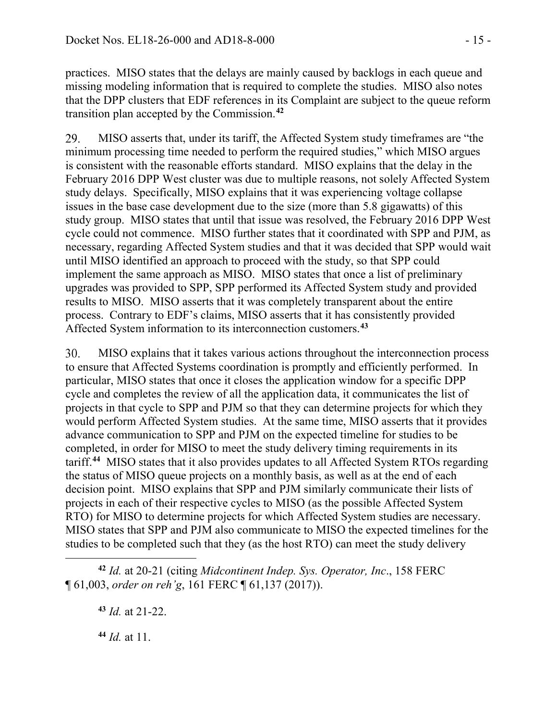practices. MISO states that the delays are mainly caused by backlogs in each queue and missing modeling information that is required to complete the studies. MISO also notes that the DPP clusters that EDF references in its Complaint are subject to the queue reform transition plan accepted by the Commission. **[42](#page-14-0)**

29. MISO asserts that, under its tariff, the Affected System study timeframes are "the minimum processing time needed to perform the required studies," which MISO argues is consistent with the reasonable efforts standard. MISO explains that the delay in the February 2016 DPP West cluster was due to multiple reasons, not solely Affected System study delays. Specifically, MISO explains that it was experiencing voltage collapse issues in the base case development due to the size (more than 5.8 gigawatts) of this study group. MISO states that until that issue was resolved, the February 2016 DPP West cycle could not commence. MISO further states that it coordinated with SPP and PJM, as necessary, regarding Affected System studies and that it was decided that SPP would wait until MISO identified an approach to proceed with the study, so that SPP could implement the same approach as MISO. MISO states that once a list of preliminary upgrades was provided to SPP, SPP performed its Affected System study and provided results to MISO. MISO asserts that it was completely transparent about the entire process. Contrary to EDF's claims, MISO asserts that it has consistently provided Affected System information to its interconnection customers.**[43](#page-14-1)**

30. MISO explains that it takes various actions throughout the interconnection process to ensure that Affected Systems coordination is promptly and efficiently performed. In particular, MISO states that once it closes the application window for a specific DPP cycle and completes the review of all the application data, it communicates the list of projects in that cycle to SPP and PJM so that they can determine projects for which they would perform Affected System studies. At the same time, MISO asserts that it provides advance communication to SPP and PJM on the expected timeline for studies to be completed, in order for MISO to meet the study delivery timing requirements in its tariff. **[44](#page-14-2)** MISO states that it also provides updates to all Affected System RTOs regarding the status of MISO queue projects on a monthly basis, as well as at the end of each decision point. MISO explains that SPP and PJM similarly communicate their lists of projects in each of their respective cycles to MISO (as the possible Affected System RTO) for MISO to determine projects for which Affected System studies are necessary. MISO states that SPP and PJM also communicate to MISO the expected timelines for the studies to be completed such that they (as the host RTO) can meet the study delivery

<span id="page-14-1"></span><span id="page-14-0"></span> $\overline{a}$ **<sup>42</sup>** *Id.* at 20-21 (citing *Midcontinent Indep. Sys. Operator, Inc*., 158 FERC ¶ 61,003, *order on reh'g*, 161 FERC ¶ 61,137 (2017)).

**<sup>43</sup>** *Id.* at 21-22.

<span id="page-14-2"></span>**<sup>44</sup>** *Id.* at 11.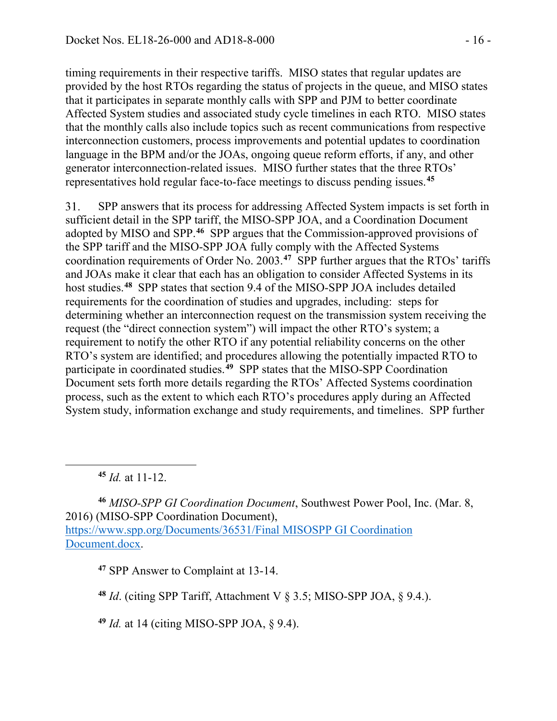timing requirements in their respective tariffs. MISO states that regular updates are provided by the host RTOs regarding the status of projects in the queue, and MISO states that it participates in separate monthly calls with SPP and PJM to better coordinate Affected System studies and associated study cycle timelines in each RTO. MISO states that the monthly calls also include topics such as recent communications from respective interconnection customers, process improvements and potential updates to coordination language in the BPM and/or the JOAs, ongoing queue reform efforts, if any, and other generator interconnection-related issues. MISO further states that the three RTOs' representatives hold regular face-to-face meetings to discuss pending issues.**[45](#page-15-0)**

31. SPP answers that its process for addressing Affected System impacts is set forth in sufficient detail in the SPP tariff, the MISO-SPP JOA, and a Coordination Document adopted by MISO and SPP. **[46](#page-15-1)** SPP argues that the Commission-approved provisions of the SPP tariff and the MISO-SPP JOA fully comply with the Affected Systems coordination requirements of Order No. 2003.**[47](#page-15-2)** SPP further argues that the RTOs' tariffs and JOAs make it clear that each has an obligation to consider Affected Systems in its host studies.**[48](#page-15-3)** SPP states that section 9.4 of the MISO-SPP JOA includes detailed requirements for the coordination of studies and upgrades, including: steps for determining whether an interconnection request on the transmission system receiving the request (the "direct connection system") will impact the other RTO's system; a requirement to notify the other RTO if any potential reliability concerns on the other RTO's system are identified; and procedures allowing the potentially impacted RTO to participate in coordinated studies. **[49](#page-15-4)** SPP states that the MISO-SPP Coordination Document sets forth more details regarding the RTOs' Affected Systems coordination process, such as the extent to which each RTO's procedures apply during an Affected System study, information exchange and study requirements, and timelines. SPP further

**<sup>45</sup>** *Id.* at 11-12.

<span id="page-15-0"></span> $\overline{a}$ 

<span id="page-15-2"></span><span id="page-15-1"></span>**<sup>46</sup>** *MISO-SPP GI Coordination Document*, Southwest Power Pool, Inc. (Mar. 8, 2016) (MISO-SPP Coordination Document), [https://www.spp.org/Documents/36531/Final MISOSPP](https://www.spp.org/Documents/36531/Final%20MISOSPP%20GI%20Coordination%20Document.docx) GI Coordination [Document.docx.](https://www.spp.org/Documents/36531/Final%20MISOSPP%20GI%20Coordination%20Document.docx)

**<sup>47</sup>** SPP Answer to Complaint at 13-14.

<span id="page-15-3"></span>**<sup>48</sup>** *Id*. (citing SPP Tariff, Attachment V § 3.5; MISO-SPP JOA, § 9.4.).

<span id="page-15-4"></span>**<sup>49</sup>** *Id.* at 14 (citing MISO-SPP JOA, § 9.4).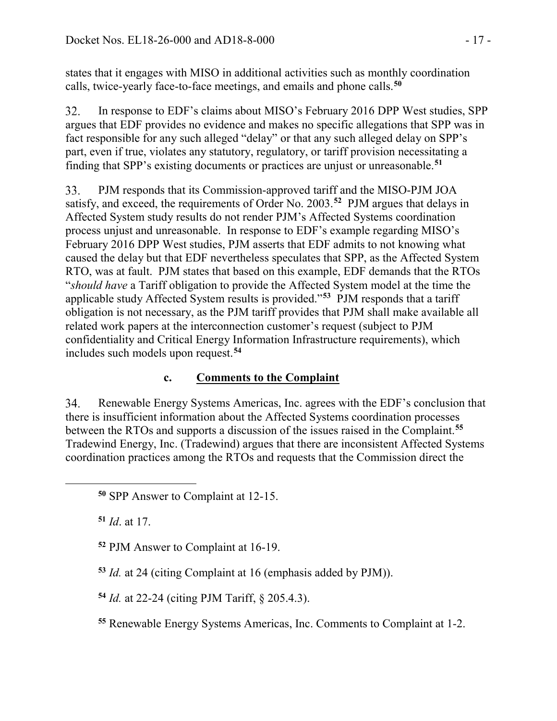states that it engages with MISO in additional activities such as monthly coordination calls, twice-yearly face-to-face meetings, and emails and phone calls.**[50](#page-16-0)**

32. In response to EDF's claims about MISO's February 2016 DPP West studies, SPP argues that EDF provides no evidence and makes no specific allegations that SPP was in fact responsible for any such alleged "delay" or that any such alleged delay on SPP's part, even if true, violates any statutory, regulatory, or tariff provision necessitating a finding that SPP's existing documents or practices are unjust or unreasonable. **[51](#page-16-1)**

33. PJM responds that its Commission-approved tariff and the MISO-PJM JOA satisfy, and exceed, the requirements of Order No. 2003.**[52](#page-16-2)** PJM argues that delays in Affected System study results do not render PJM's Affected Systems coordination process unjust and unreasonable. In response to EDF's example regarding MISO's February 2016 DPP West studies, PJM asserts that EDF admits to not knowing what caused the delay but that EDF nevertheless speculates that SPP, as the Affected System RTO, was at fault. PJM states that based on this example, EDF demands that the RTOs "*should have* a Tariff obligation to provide the Affected System model at the time the applicable study Affected System results is provided."**[53](#page-16-3)** PJM responds that a tariff obligation is not necessary, as the PJM tariff provides that PJM shall make available all related work papers at the interconnection customer's request (subject to PJM confidentiality and Critical Energy Information Infrastructure requirements), which includes such models upon request.**[54](#page-16-4)**

# **c. Comments to the Complaint**

34. Renewable Energy Systems Americas, Inc. agrees with the EDF's conclusion that there is insufficient information about the Affected Systems coordination processes between the RTOs and supports a discussion of the issues raised in the Complaint.**[55](#page-16-5)** Tradewind Energy, Inc. (Tradewind) argues that there are inconsistent Affected Systems coordination practices among the RTOs and requests that the Commission direct the

**<sup>51</sup>** *Id*. at 17.

<span id="page-16-2"></span><span id="page-16-1"></span><span id="page-16-0"></span> $\overline{a}$ 

**<sup>52</sup>** PJM Answer to Complaint at 16-19.

<span id="page-16-3"></span>**<sup>53</sup>** *Id.* at 24 (citing Complaint at 16 (emphasis added by PJM)).

<span id="page-16-4"></span>**<sup>54</sup>** *Id.* at 22-24 (citing PJM Tariff, § 205.4.3).

<span id="page-16-5"></span>**<sup>55</sup>** Renewable Energy Systems Americas, Inc. Comments to Complaint at 1-2.

**<sup>50</sup>** SPP Answer to Complaint at 12-15.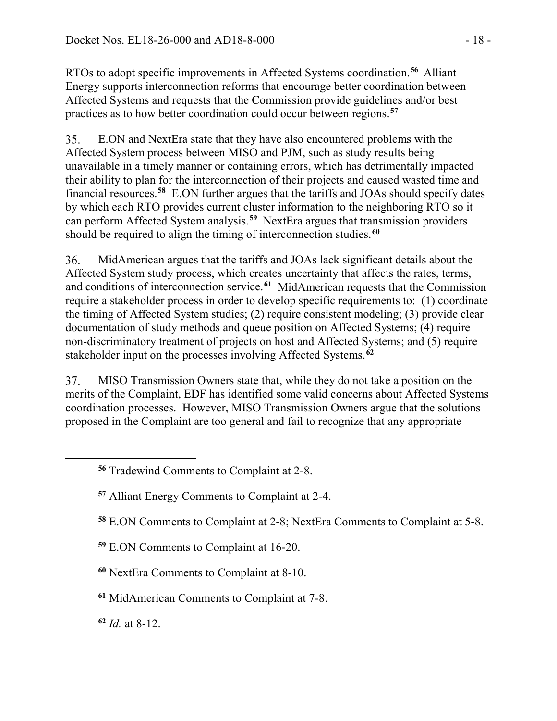RTOs to adopt specific improvements in Affected Systems coordination. **[56](#page-17-0)** Alliant Energy supports interconnection reforms that encourage better coordination between Affected Systems and requests that the Commission provide guidelines and/or best practices as to how better coordination could occur between regions.**[57](#page-17-1)**

E.ON and NextEra state that they have also encountered problems with the 35. Affected System process between MISO and PJM, such as study results being unavailable in a timely manner or containing errors, which has detrimentally impacted their ability to plan for the interconnection of their projects and caused wasted time and financial resources.**[58](#page-17-2)** E.ON further argues that the tariffs and JOAs should specify dates by which each RTO provides current cluster information to the neighboring RTO so it can perform Affected System analysis.**[59](#page-17-3)** NextEra argues that transmission providers should be required to align the timing of interconnection studies. **[60](#page-17-4)**

36. MidAmerican argues that the tariffs and JOAs lack significant details about the Affected System study process, which creates uncertainty that affects the rates, terms, and conditions of interconnection service. **[61](#page-17-5)** MidAmerican requests that the Commission require a stakeholder process in order to develop specific requirements to: (1) coordinate the timing of Affected System studies; (2) require consistent modeling; (3) provide clear documentation of study methods and queue position on Affected Systems; (4) require non-discriminatory treatment of projects on host and Affected Systems; and (5) require stakeholder input on the processes involving Affected Systems.**[62](#page-17-6)**

37. MISO Transmission Owners state that, while they do not take a position on the merits of the Complaint, EDF has identified some valid concerns about Affected Systems coordination processes. However, MISO Transmission Owners argue that the solutions proposed in the Complaint are too general and fail to recognize that any appropriate

- **<sup>58</sup>** E.ON Comments to Complaint at 2-8; NextEra Comments to Complaint at 5-8.
- <span id="page-17-3"></span>**<sup>59</sup>** E.ON Comments to Complaint at 16-20.
- <span id="page-17-4"></span>**<sup>60</sup>** NextEra Comments to Complaint at 8-10.
- <span id="page-17-5"></span>**<sup>61</sup>** MidAmerican Comments to Complaint at 7-8.

<span id="page-17-6"></span>**<sup>62</sup>** *Id.* at 8-12.

<span id="page-17-2"></span><span id="page-17-1"></span><span id="page-17-0"></span> $\overline{a}$ 

**<sup>56</sup>** Tradewind Comments to Complaint at 2-8.

**<sup>57</sup>** Alliant Energy Comments to Complaint at 2-4.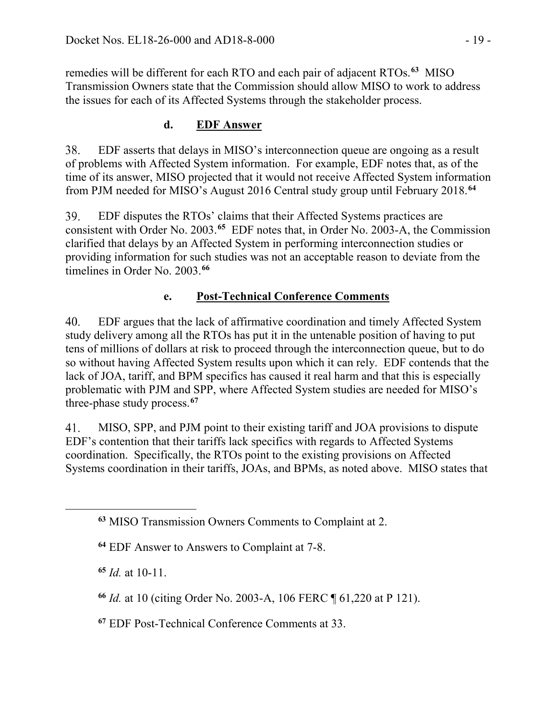remedies will be different for each RTO and each pair of adjacent RTOs.**[63](#page-18-0)** MISO Transmission Owners state that the Commission should allow MISO to work to address the issues for each of its Affected Systems through the stakeholder process.

# **d. EDF Answer**

38. EDF asserts that delays in MISO's interconnection queue are ongoing as a result of problems with Affected System information. For example, EDF notes that, as of the time of its answer, MISO projected that it would not receive Affected System information from PJM needed for MISO's August 2016 Central study group until February 2018.**[64](#page-18-1)**

39. EDF disputes the RTOs' claims that their Affected Systems practices are consistent with Order No. 2003.**[65](#page-18-2)** EDF notes that, in Order No. 2003-A, the Commission clarified that delays by an Affected System in performing interconnection studies or providing information for such studies was not an acceptable reason to deviate from the timelines in Order No. 2003.**[66](#page-18-3)**

# **e. Post-Technical Conference Comments**

EDF argues that the lack of affirmative coordination and timely Affected System  $40.$ study delivery among all the RTOs has put it in the untenable position of having to put tens of millions of dollars at risk to proceed through the interconnection queue, but to do so without having Affected System results upon which it can rely. EDF contends that the lack of JOA, tariff, and BPM specifics has caused it real harm and that this is especially problematic with PJM and SPP, where Affected System studies are needed for MISO's three-phase study process. **[67](#page-18-4)**

41. MISO, SPP, and PJM point to their existing tariff and JOA provisions to dispute EDF's contention that their tariffs lack specifics with regards to Affected Systems coordination. Specifically, the RTOs point to the existing provisions on Affected Systems coordination in their tariffs, JOAs, and BPMs, as noted above. MISO states that

**<sup>65</sup>** *Id.* at 10-11.

<span id="page-18-2"></span><span id="page-18-1"></span><span id="page-18-0"></span> $\overline{a}$ 

<span id="page-18-4"></span>**<sup>67</sup>** EDF Post-Technical Conference Comments at 33.

**<sup>63</sup>** MISO Transmission Owners Comments to Complaint at 2.

**<sup>64</sup>** EDF Answer to Answers to Complaint at 7-8.

<span id="page-18-3"></span>**<sup>66</sup>** *Id.* at 10 (citing Order No. 2003-A, 106 FERC ¶ 61,220 at P 121).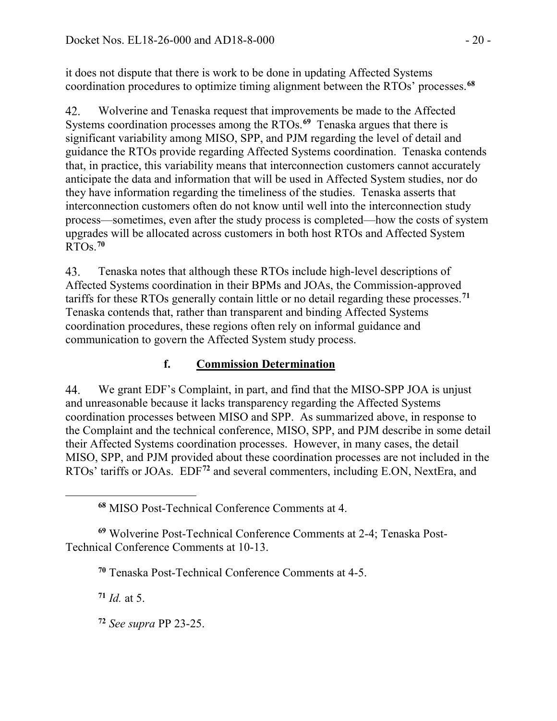it does not dispute that there is work to be done in updating Affected Systems coordination procedures to optimize timing alignment between the RTOs' processes.**[68](#page-19-0)**

Wolverine and Tenaska request that improvements be made to the Affected 42. Systems coordination processes among the RTOs. **[69](#page-19-1)** Tenaska argues that there is significant variability among MISO, SPP, and PJM regarding the level of detail and guidance the RTOs provide regarding Affected Systems coordination. Tenaska contends that, in practice, this variability means that interconnection customers cannot accurately anticipate the data and information that will be used in Affected System studies, nor do they have information regarding the timeliness of the studies. Tenaska asserts that interconnection customers often do not know until well into the interconnection study process—sometimes, even after the study process is completed—how the costs of system upgrades will be allocated across customers in both host RTOs and Affected System RTOs.**[70](#page-19-2)**

43. Tenaska notes that although these RTOs include high-level descriptions of Affected Systems coordination in their BPMs and JOAs, the Commission-approved tariffs for these RTOs generally contain little or no detail regarding these processes.**[71](#page-19-3)** Tenaska contends that, rather than transparent and binding Affected Systems coordination procedures, these regions often rely on informal guidance and communication to govern the Affected System study process.

# **f. Commission Determination**

We grant EDF's Complaint, in part, and find that the MISO-SPP JOA is unjust 44. and unreasonable because it lacks transparency regarding the Affected Systems coordination processes between MISO and SPP. As summarized above, in response to the Complaint and the technical conference, MISO, SPP, and PJM describe in some detail their Affected Systems coordination processes. However, in many cases, the detail MISO, SPP, and PJM provided about these coordination processes are not included in the RTOs' tariffs or JOAs. EDF**[72](#page-19-4)** and several commenters, including E.ON, NextEra, and

<span id="page-19-3"></span><span id="page-19-2"></span><span id="page-19-1"></span>**<sup>69</sup>** Wolverine Post-Technical Conference Comments at 2-4; Tenaska Post-Technical Conference Comments at 10-13.

**<sup>70</sup>** Tenaska Post-Technical Conference Comments at 4-5.

**<sup>71</sup>** *Id.* at 5.

<span id="page-19-0"></span> $\overline{a}$ 

<span id="page-19-4"></span>**<sup>72</sup>** *See supra* PP 23-25.

**<sup>68</sup>** MISO Post-Technical Conference Comments at 4.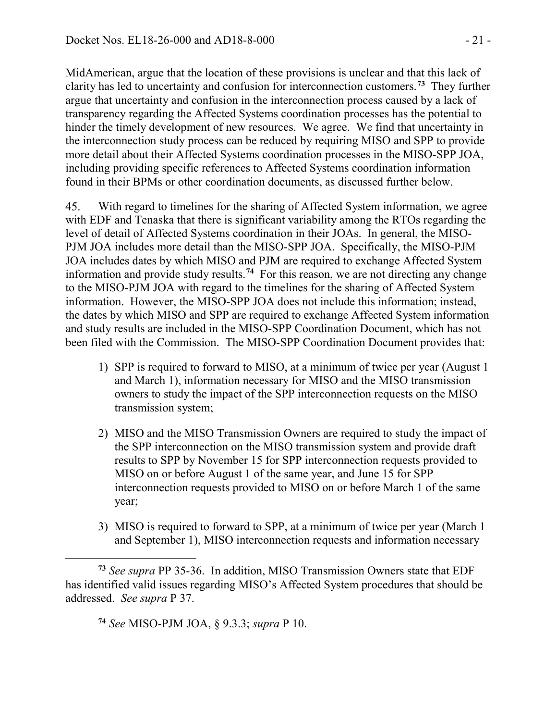MidAmerican, argue that the location of these provisions is unclear and that this lack of clarity has led to uncertainty and confusion for interconnection customers.**[73](#page-20-0)** They further argue that uncertainty and confusion in the interconnection process caused by a lack of transparency regarding the Affected Systems coordination processes has the potential to hinder the timely development of new resources. We agree. We find that uncertainty in the interconnection study process can be reduced by requiring MISO and SPP to provide more detail about their Affected Systems coordination processes in the MISO-SPP JOA, including providing specific references to Affected Systems coordination information found in their BPMs or other coordination documents, as discussed further below.

45. With regard to timelines for the sharing of Affected System information, we agree with EDF and Tenaska that there is significant variability among the RTOs regarding the level of detail of Affected Systems coordination in their JOAs. In general, the MISO-PJM JOA includes more detail than the MISO-SPP JOA. Specifically, the MISO-PJM JOA includes dates by which MISO and PJM are required to exchange Affected System information and provide study results. **[74](#page-20-1)** For this reason, we are not directing any change to the MISO-PJM JOA with regard to the timelines for the sharing of Affected System information. However, the MISO-SPP JOA does not include this information; instead, the dates by which MISO and SPP are required to exchange Affected System information and study results are included in the MISO-SPP Coordination Document, which has not been filed with the Commission. The MISO-SPP Coordination Document provides that:

- 1) SPP is required to forward to MISO, at a minimum of twice per year (August 1 and March 1), information necessary for MISO and the MISO transmission owners to study the impact of the SPP interconnection requests on the MISO transmission system;
- 2) MISO and the MISO Transmission Owners are required to study the impact of the SPP interconnection on the MISO transmission system and provide draft results to SPP by November 15 for SPP interconnection requests provided to MISO on or before August 1 of the same year, and June 15 for SPP interconnection requests provided to MISO on or before March 1 of the same year;
- 3) MISO is required to forward to SPP, at a minimum of twice per year (March 1 and September 1), MISO interconnection requests and information necessary

**<sup>74</sup>** *See* MISO-PJM JOA, § 9.3.3; *supra* P 10.

<span id="page-20-1"></span><span id="page-20-0"></span> $\overline{a}$ **<sup>73</sup>** *See supra* PP 35-36. In addition, MISO Transmission Owners state that EDF has identified valid issues regarding MISO's Affected System procedures that should be addressed. *See supra* P 37.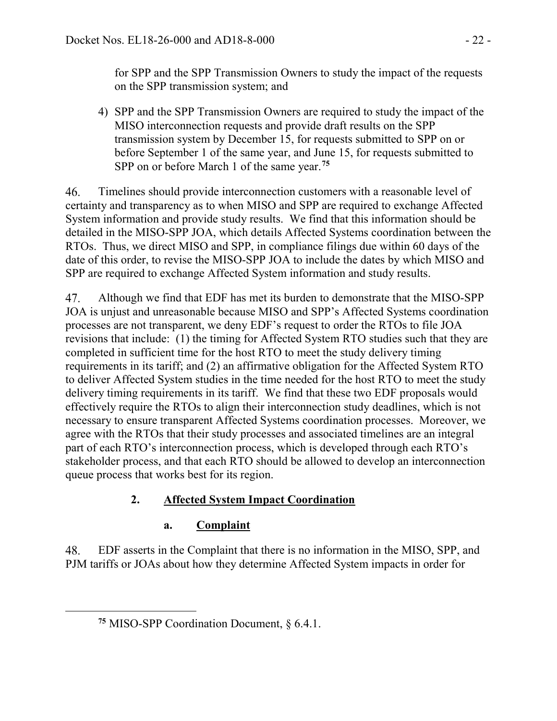for SPP and the SPP Transmission Owners to study the impact of the requests on the SPP transmission system; and

4) SPP and the SPP Transmission Owners are required to study the impact of the MISO interconnection requests and provide draft results on the SPP transmission system by December 15, for requests submitted to SPP on or before September 1 of the same year, and June 15, for requests submitted to SPP on or before March 1 of the same year.**[75](#page-21-0)**

Timelines should provide interconnection customers with a reasonable level of 46. certainty and transparency as to when MISO and SPP are required to exchange Affected System information and provide study results. We find that this information should be detailed in the MISO-SPP JOA, which details Affected Systems coordination between the RTOs. Thus, we direct MISO and SPP, in compliance filings due within 60 days of the date of this order, to revise the MISO-SPP JOA to include the dates by which MISO and SPP are required to exchange Affected System information and study results.

47. Although we find that EDF has met its burden to demonstrate that the MISO-SPP JOA is unjust and unreasonable because MISO and SPP's Affected Systems coordination processes are not transparent, we deny EDF's request to order the RTOs to file JOA revisions that include: (1) the timing for Affected System RTO studies such that they are completed in sufficient time for the host RTO to meet the study delivery timing requirements in its tariff; and (2) an affirmative obligation for the Affected System RTO to deliver Affected System studies in the time needed for the host RTO to meet the study delivery timing requirements in its tariff. We find that these two EDF proposals would effectively require the RTOs to align their interconnection study deadlines, which is not necessary to ensure transparent Affected Systems coordination processes. Moreover, we agree with the RTOs that their study processes and associated timelines are an integral part of each RTO's interconnection process, which is developed through each RTO's stakeholder process, and that each RTO should be allowed to develop an interconnection queue process that works best for its region.

# **2. Affected System Impact Coordination**

# **a. Complaint**

48. EDF asserts in the Complaint that there is no information in the MISO, SPP, and PJM tariffs or JOAs about how they determine Affected System impacts in order for

<span id="page-21-0"></span> $\overline{a}$ 

**<sup>75</sup>** MISO-SPP Coordination Document, § 6.4.1.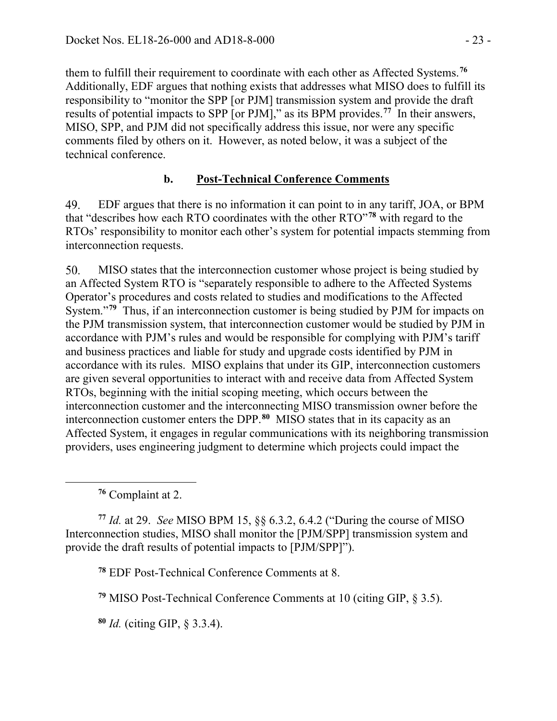them to fulfill their requirement to coordinate with each other as Affected Systems.**[76](#page-22-0)** Additionally, EDF argues that nothing exists that addresses what MISO does to fulfill its responsibility to "monitor the SPP [or PJM] transmission system and provide the draft results of potential impacts to SPP [or PJM]," as its BPM provides.**[77](#page-22-1)** In their answers, MISO, SPP, and PJM did not specifically address this issue, nor were any specific comments filed by others on it. However, as noted below, it was a subject of the technical conference.

# **b. Post-Technical Conference Comments**

49. EDF argues that there is no information it can point to in any tariff, JOA, or BPM that "describes how each RTO coordinates with the other RTO"**[78](#page-22-2)** with regard to the RTOs' responsibility to monitor each other's system for potential impacts stemming from interconnection requests.

50. MISO states that the interconnection customer whose project is being studied by an Affected System RTO is "separately responsible to adhere to the Affected Systems Operator's procedures and costs related to studies and modifications to the Affected System."**[79](#page-22-3)** Thus, if an interconnection customer is being studied by PJM for impacts on the PJM transmission system, that interconnection customer would be studied by PJM in accordance with PJM's rules and would be responsible for complying with PJM's tariff and business practices and liable for study and upgrade costs identified by PJM in accordance with its rules. MISO explains that under its GIP, interconnection customers are given several opportunities to interact with and receive data from Affected System RTOs, beginning with the initial scoping meeting, which occurs between the interconnection customer and the interconnecting MISO transmission owner before the interconnection customer enters the DPP.**[80](#page-22-4)** MISO states that in its capacity as an Affected System, it engages in regular communications with its neighboring transmission providers, uses engineering judgment to determine which projects could impact the

**<sup>76</sup>** Complaint at 2.

<span id="page-22-0"></span> $\overline{a}$ 

<span id="page-22-2"></span><span id="page-22-1"></span>**<sup>77</sup>** *Id.* at 29. *See* MISO BPM 15, §§ 6.3.2, 6.4.2 ("During the course of MISO Interconnection studies, MISO shall monitor the [PJM/SPP] transmission system and provide the draft results of potential impacts to [PJM/SPP]").

**<sup>78</sup>** EDF Post-Technical Conference Comments at 8.

<span id="page-22-3"></span>**<sup>79</sup>** MISO Post-Technical Conference Comments at 10 (citing GIP, § 3.5).

<span id="page-22-4"></span>**<sup>80</sup>** *Id.* (citing GIP, § 3.3.4).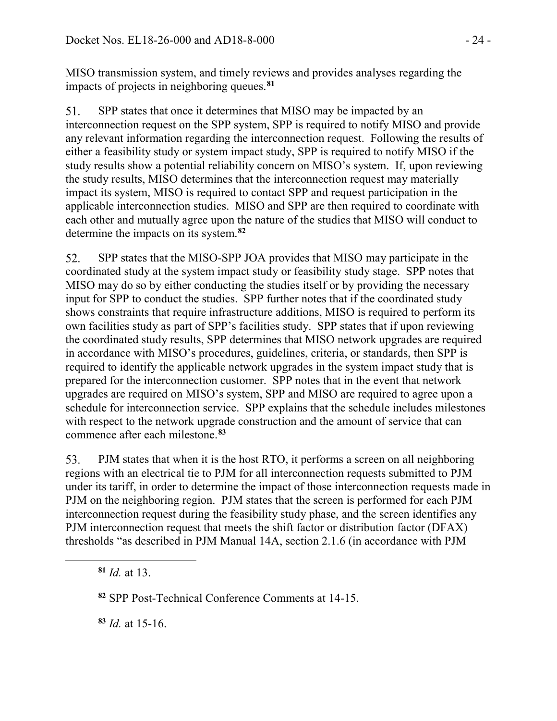MISO transmission system, and timely reviews and provides analyses regarding the impacts of projects in neighboring queues.**[81](#page-23-0)**

SPP states that once it determines that MISO may be impacted by an 51. interconnection request on the SPP system, SPP is required to notify MISO and provide any relevant information regarding the interconnection request. Following the results of either a feasibility study or system impact study, SPP is required to notify MISO if the study results show a potential reliability concern on MISO's system. If, upon reviewing the study results, MISO determines that the interconnection request may materially impact its system, MISO is required to contact SPP and request participation in the applicable interconnection studies. MISO and SPP are then required to coordinate with each other and mutually agree upon the nature of the studies that MISO will conduct to determine the impacts on its system.**[82](#page-23-1)**

SPP states that the MISO-SPP JOA provides that MISO may participate in the 52. coordinated study at the system impact study or feasibility study stage. SPP notes that MISO may do so by either conducting the studies itself or by providing the necessary input for SPP to conduct the studies. SPP further notes that if the coordinated study shows constraints that require infrastructure additions, MISO is required to perform its own facilities study as part of SPP's facilities study. SPP states that if upon reviewing the coordinated study results, SPP determines that MISO network upgrades are required in accordance with MISO's procedures, guidelines, criteria, or standards, then SPP is required to identify the applicable network upgrades in the system impact study that is prepared for the interconnection customer. SPP notes that in the event that network upgrades are required on MISO's system, SPP and MISO are required to agree upon a schedule for interconnection service. SPP explains that the schedule includes milestones with respect to the network upgrade construction and the amount of service that can commence after each milestone.**[83](#page-23-2)**

PJM states that when it is the host RTO, it performs a screen on all neighboring 53. regions with an electrical tie to PJM for all interconnection requests submitted to PJM under its tariff, in order to determine the impact of those interconnection requests made in PJM on the neighboring region. PJM states that the screen is performed for each PJM interconnection request during the feasibility study phase, and the screen identifies any PJM interconnection request that meets the shift factor or distribution factor (DFAX) thresholds "as described in PJM Manual 14A, section 2.1.6 (in accordance with PJM

**<sup>81</sup>** *Id.* at 13.

<span id="page-23-2"></span><span id="page-23-1"></span><span id="page-23-0"></span> $\overline{a}$ 

**<sup>83</sup>** *Id.* at 15-16.

**<sup>82</sup>** SPP Post-Technical Conference Comments at 14-15.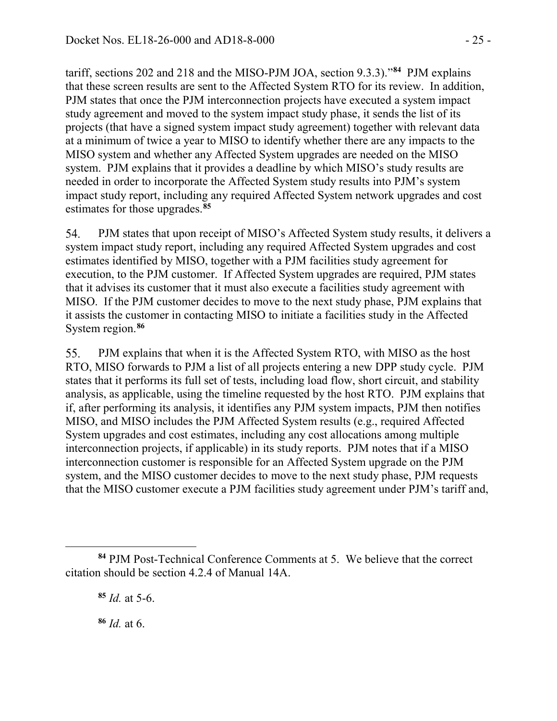tariff, sections 202 and 218 and the MISO-PJM JOA, section 9.3.3)."**[84](#page-24-0)** PJM explains that these screen results are sent to the Affected System RTO for its review. In addition, PJM states that once the PJM interconnection projects have executed a system impact study agreement and moved to the system impact study phase, it sends the list of its projects (that have a signed system impact study agreement) together with relevant data at a minimum of twice a year to MISO to identify whether there are any impacts to the MISO system and whether any Affected System upgrades are needed on the MISO system. PJM explains that it provides a deadline by which MISO's study results are needed in order to incorporate the Affected System study results into PJM's system impact study report, including any required Affected System network upgrades and cost estimates for those upgrades.**[85](#page-24-1)**

54. PJM states that upon receipt of MISO's Affected System study results, it delivers a system impact study report, including any required Affected System upgrades and cost estimates identified by MISO, together with a PJM facilities study agreement for execution, to the PJM customer. If Affected System upgrades are required, PJM states that it advises its customer that it must also execute a facilities study agreement with MISO. If the PJM customer decides to move to the next study phase, PJM explains that it assists the customer in contacting MISO to initiate a facilities study in the Affected System region.**[86](#page-24-2)**

PJM explains that when it is the Affected System RTO, with MISO as the host 55. RTO, MISO forwards to PJM a list of all projects entering a new DPP study cycle. PJM states that it performs its full set of tests, including load flow, short circuit, and stability analysis, as applicable, using the timeline requested by the host RTO. PJM explains that if, after performing its analysis, it identifies any PJM system impacts, PJM then notifies MISO, and MISO includes the PJM Affected System results (e.g., required Affected System upgrades and cost estimates, including any cost allocations among multiple interconnection projects, if applicable) in its study reports. PJM notes that if a MISO interconnection customer is responsible for an Affected System upgrade on the PJM system, and the MISO customer decides to move to the next study phase, PJM requests that the MISO customer execute a PJM facilities study agreement under PJM's tariff and,

**<sup>86</sup>** *Id.* at 6.

 $\overline{a}$ 

<span id="page-24-2"></span><span id="page-24-1"></span><span id="page-24-0"></span>**<sup>84</sup>** PJM Post-Technical Conference Comments at 5. We believe that the correct citation should be section 4.2.4 of Manual 14A.

**<sup>85</sup>** *Id.* at 5-6.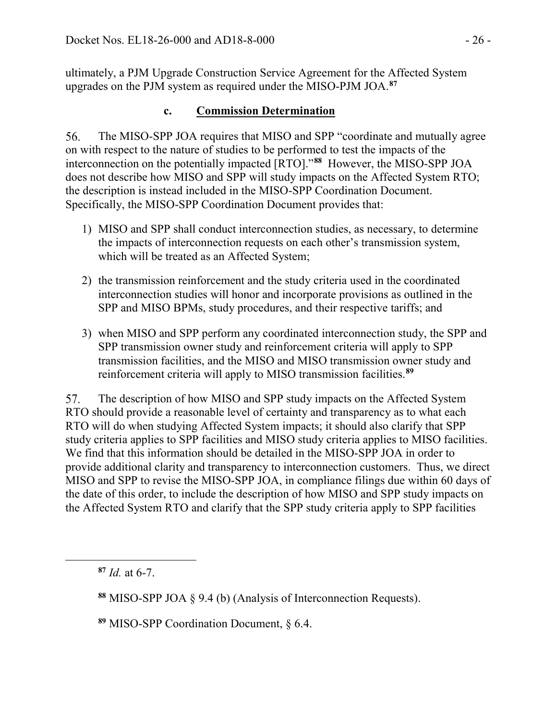ultimately, a PJM Upgrade Construction Service Agreement for the Affected System upgrades on the PJM system as required under the MISO-PJM JOA.**[87](#page-25-0)**

# **c. Commission Determination**

56. The MISO-SPP JOA requires that MISO and SPP "coordinate and mutually agree on with respect to the nature of studies to be performed to test the impacts of the interconnection on the potentially impacted [RTO]."**[88](#page-25-1)** However, the MISO-SPP JOA does not describe how MISO and SPP will study impacts on the Affected System RTO; the description is instead included in the MISO-SPP Coordination Document. Specifically, the MISO-SPP Coordination Document provides that:

- 1) MISO and SPP shall conduct interconnection studies, as necessary, to determine the impacts of interconnection requests on each other's transmission system, which will be treated as an Affected System;
- 2) the transmission reinforcement and the study criteria used in the coordinated interconnection studies will honor and incorporate provisions as outlined in the SPP and MISO BPMs, study procedures, and their respective tariffs; and
- 3) when MISO and SPP perform any coordinated interconnection study, the SPP and SPP transmission owner study and reinforcement criteria will apply to SPP transmission facilities, and the MISO and MISO transmission owner study and reinforcement criteria will apply to MISO transmission facilities. **[89](#page-25-2)**

57. The description of how MISO and SPP study impacts on the Affected System RTO should provide a reasonable level of certainty and transparency as to what each RTO will do when studying Affected System impacts; it should also clarify that SPP study criteria applies to SPP facilities and MISO study criteria applies to MISO facilities. We find that this information should be detailed in the MISO-SPP JOA in order to provide additional clarity and transparency to interconnection customers. Thus, we direct MISO and SPP to revise the MISO-SPP JOA, in compliance filings due within 60 days of the date of this order, to include the description of how MISO and SPP study impacts on the Affected System RTO and clarify that the SPP study criteria apply to SPP facilities

<span id="page-25-2"></span><span id="page-25-1"></span><span id="page-25-0"></span> $\overline{a}$ 

**<sup>89</sup>** MISO-SPP Coordination Document, § 6.4.

**<sup>87</sup>** *Id.* at 6-7.

**<sup>88</sup>** MISO-SPP JOA § 9.4 (b) (Analysis of Interconnection Requests).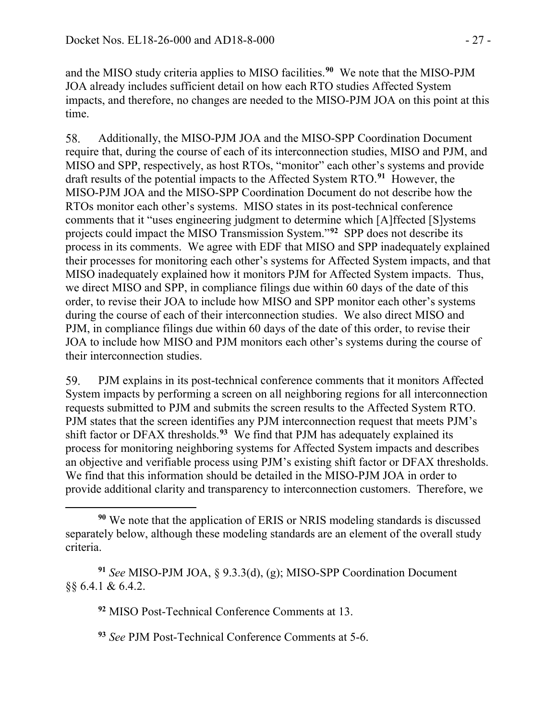and the MISO study criteria applies to MISO facilities. **[90](#page-26-0)** We note that the MISO-PJM JOA already includes sufficient detail on how each RTO studies Affected System impacts, and therefore, no changes are needed to the MISO-PJM JOA on this point at this time.

58. Additionally, the MISO-PJM JOA and the MISO-SPP Coordination Document require that, during the course of each of its interconnection studies, MISO and PJM, and MISO and SPP, respectively, as host RTOs, "monitor" each other's systems and provide draft results of the potential impacts to the Affected System RTO.**[91](#page-26-1)** However, the MISO-PJM JOA and the MISO-SPP Coordination Document do not describe how the RTOs monitor each other's systems. MISO states in its post-technical conference comments that it "uses engineering judgment to determine which [A]ffected [S]ystems projects could impact the MISO Transmission System."**[92](#page-26-2)** SPP does not describe its process in its comments. We agree with EDF that MISO and SPP inadequately explained their processes for monitoring each other's systems for Affected System impacts, and that MISO inadequately explained how it monitors PJM for Affected System impacts. Thus, we direct MISO and SPP, in compliance filings due within 60 days of the date of this order, to revise their JOA to include how MISO and SPP monitor each other's systems during the course of each of their interconnection studies. We also direct MISO and PJM, in compliance filings due within 60 days of the date of this order, to revise their JOA to include how MISO and PJM monitors each other's systems during the course of their interconnection studies.

59. PJM explains in its post-technical conference comments that it monitors Affected System impacts by performing a screen on all neighboring regions for all interconnection requests submitted to PJM and submits the screen results to the Affected System RTO. PJM states that the screen identifies any PJM interconnection request that meets PJM's shift factor or DFAX thresholds.**[93](#page-26-3)** We find that PJM has adequately explained its process for monitoring neighboring systems for Affected System impacts and describes an objective and verifiable process using PJM's existing shift factor or DFAX thresholds. We find that this information should be detailed in the MISO-PJM JOA in order to provide additional clarity and transparency to interconnection customers. Therefore, we

**<sup>92</sup>** MISO Post-Technical Conference Comments at 13.

**<sup>93</sup>** *See* PJM Post-Technical Conference Comments at 5-6.

<span id="page-26-0"></span> $\overline{a}$ **<sup>90</sup>** We note that the application of ERIS or NRIS modeling standards is discussed separately below, although these modeling standards are an element of the overall study criteria.

<span id="page-26-3"></span><span id="page-26-2"></span><span id="page-26-1"></span>**<sup>91</sup>** *See* MISO-PJM JOA, § 9.3.3(d), (g); MISO-SPP Coordination Document §§ 6.4.1 & 6.4.2.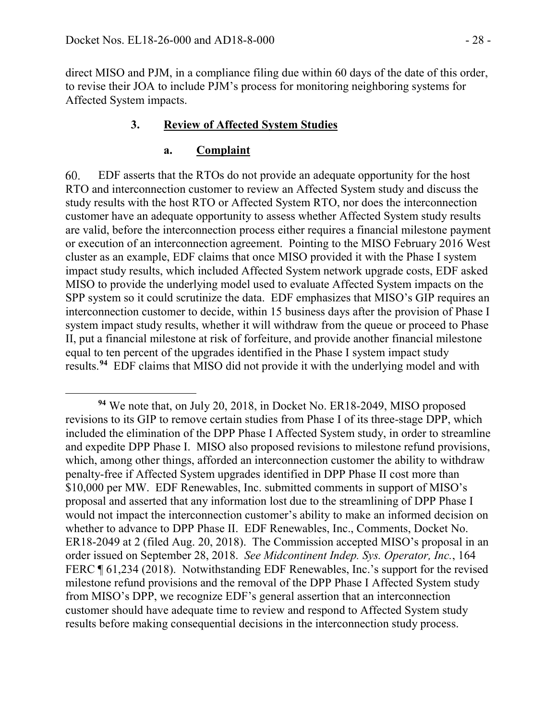$\overline{a}$ 

direct MISO and PJM, in a compliance filing due within 60 days of the date of this order, to revise their JOA to include PJM's process for monitoring neighboring systems for Affected System impacts.

#### **3. Review of Affected System Studies**

#### **a. Complaint**

60. EDF asserts that the RTOs do not provide an adequate opportunity for the host RTO and interconnection customer to review an Affected System study and discuss the study results with the host RTO or Affected System RTO, nor does the interconnection customer have an adequate opportunity to assess whether Affected System study results are valid, before the interconnection process either requires a financial milestone payment or execution of an interconnection agreement. Pointing to the MISO February 2016 West cluster as an example, EDF claims that once MISO provided it with the Phase I system impact study results, which included Affected System network upgrade costs, EDF asked MISO to provide the underlying model used to evaluate Affected System impacts on the SPP system so it could scrutinize the data. EDF emphasizes that MISO's GIP requires an interconnection customer to decide, within 15 business days after the provision of Phase I system impact study results, whether it will withdraw from the queue or proceed to Phase II, put a financial milestone at risk of forfeiture, and provide another financial milestone equal to ten percent of the upgrades identified in the Phase I system impact study results. **[94](#page-27-0)** EDF claims that MISO did not provide it with the underlying model and with

<span id="page-27-0"></span>**<sup>94</sup>** We note that, on July 20, 2018, in Docket No. ER18-2049, MISO proposed revisions to its GIP to remove certain studies from Phase I of its three-stage DPP, which included the elimination of the DPP Phase I Affected System study, in order to streamline and expedite DPP Phase I. MISO also proposed revisions to milestone refund provisions, which, among other things, afforded an interconnection customer the ability to withdraw penalty-free if Affected System upgrades identified in DPP Phase II cost more than \$10,000 per MW. EDF Renewables, Inc. submitted comments in support of MISO's proposal and asserted that any information lost due to the streamlining of DPP Phase I would not impact the interconnection customer's ability to make an informed decision on whether to advance to DPP Phase II. EDF Renewables, Inc., Comments, Docket No. ER18-2049 at 2 (filed Aug. 20, 2018). The Commission accepted MISO's proposal in an order issued on September 28, 2018. *See Midcontinent Indep. Sys. Operator, Inc.*, 164 FERC ¶ 61,234 (2018). Notwithstanding EDF Renewables, Inc.'s support for the revised milestone refund provisions and the removal of the DPP Phase I Affected System study from MISO's DPP, we recognize EDF's general assertion that an interconnection customer should have adequate time to review and respond to Affected System study results before making consequential decisions in the interconnection study process.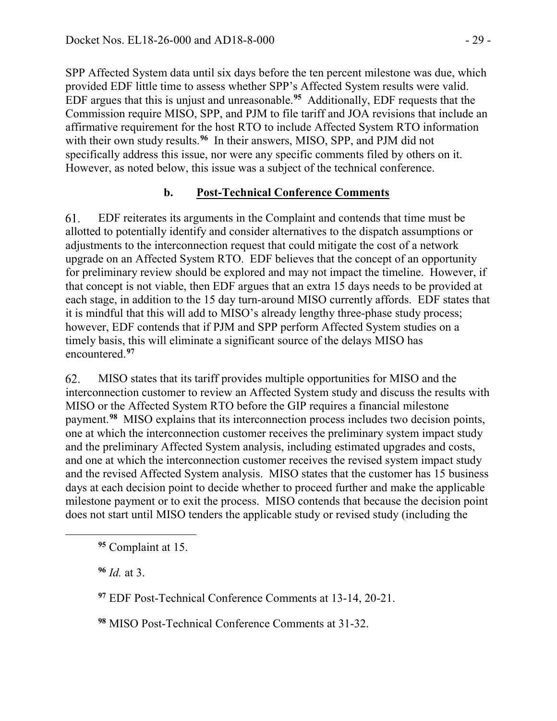SPP Affected System data until six days before the ten percent milestone was due, which provided EDF little time to assess whether SPP's Affected System results were valid. EDF argues that this is unjust and unreasonable.**[95](#page-28-0)** Additionally, EDF requests that the Commission require MISO, SPP, and PJM to file tariff and JOA revisions that include an affirmative requirement for the host RTO to include Affected System RTO information with their own study results.<sup>[96](#page-28-1)</sup> In their answers, MISO, SPP, and PJM did not specifically address this issue, nor were any specific comments filed by others on it. However, as noted below, this issue was a subject of the technical conference.

#### **b. Post-Technical Conference Comments**

61. EDF reiterates its arguments in the Complaint and contends that time must be allotted to potentially identify and consider alternatives to the dispatch assumptions or adjustments to the interconnection request that could mitigate the cost of a network upgrade on an Affected System RTO. EDF believes that the concept of an opportunity for preliminary review should be explored and may not impact the timeline. However, if that concept is not viable, then EDF argues that an extra 15 days needs to be provided at each stage, in addition to the 15 day turn-around MISO currently affords. EDF states that it is mindful that this will add to MISO's already lengthy three-phase study process; however, EDF contends that if PJM and SPP perform Affected System studies on a timely basis, this will eliminate a significant source of the delays MISO has encountered. **[97](#page-28-2)**

62. MISO states that its tariff provides multiple opportunities for MISO and the interconnection customer to review an Affected System study and discuss the results with MISO or the Affected System RTO before the GIP requires a financial milestone payment.**[98](#page-28-3)** MISO explains that its interconnection process includes two decision points, one at which the interconnection customer receives the preliminary system impact study and the preliminary Affected System analysis, including estimated upgrades and costs, and one at which the interconnection customer receives the revised system impact study and the revised Affected System analysis. MISO states that the customer has 15 business days at each decision point to decide whether to proceed further and make the applicable milestone payment or to exit the process. MISO contends that because the decision point does not start until MISO tenders the applicable study or revised study (including the

**<sup>96</sup>** *Id.* at 3.

<span id="page-28-2"></span><span id="page-28-1"></span><span id="page-28-0"></span> $\overline{a}$ 

**<sup>97</sup>** EDF Post-Technical Conference Comments at 13-14, 20-21.

<span id="page-28-3"></span>**<sup>98</sup>** MISO Post-Technical Conference Comments at 31-32.

**<sup>95</sup>** Complaint at 15.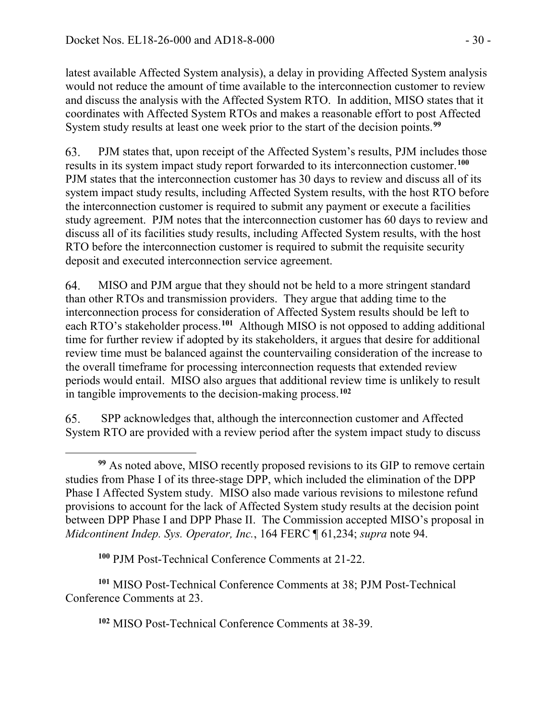latest available Affected System analysis), a delay in providing Affected System analysis would not reduce the amount of time available to the interconnection customer to review and discuss the analysis with the Affected System RTO. In addition, MISO states that it coordinates with Affected System RTOs and makes a reasonable effort to post Affected System study results at least one week prior to the start of the decision points.**[99](#page-29-0)**

PJM states that, upon receipt of the Affected System's results, PJM includes those 63. results in its system impact study report forwarded to its interconnection customer.**[100](#page-29-1)** PJM states that the interconnection customer has 30 days to review and discuss all of its system impact study results, including Affected System results, with the host RTO before the interconnection customer is required to submit any payment or execute a facilities study agreement. PJM notes that the interconnection customer has 60 days to review and discuss all of its facilities study results, including Affected System results, with the host RTO before the interconnection customer is required to submit the requisite security deposit and executed interconnection service agreement.

64. MISO and PJM argue that they should not be held to a more stringent standard than other RTOs and transmission providers. They argue that adding time to the interconnection process for consideration of Affected System results should be left to each RTO's stakeholder process.**[101](#page-29-2)** Although MISO is not opposed to adding additional time for further review if adopted by its stakeholders, it argues that desire for additional review time must be balanced against the countervailing consideration of the increase to the overall timeframe for processing interconnection requests that extended review periods would entail. MISO also argues that additional review time is unlikely to result in tangible improvements to the decision-making process.**[102](#page-29-3)**

SPP acknowledges that, although the interconnection customer and Affected 65. System RTO are provided with a review period after the system impact study to discuss

**<sup>100</sup>** PJM Post-Technical Conference Comments at 21-22.

<span id="page-29-3"></span><span id="page-29-2"></span><span id="page-29-1"></span>**<sup>101</sup>** MISO Post-Technical Conference Comments at 38; PJM Post-Technical Conference Comments at 23.

**<sup>102</sup>** MISO Post-Technical Conference Comments at 38-39.

<span id="page-29-0"></span> $\overline{a}$ **<sup>99</sup>** As noted above, MISO recently proposed revisions to its GIP to remove certain studies from Phase I of its three-stage DPP, which included the elimination of the DPP Phase I Affected System study. MISO also made various revisions to milestone refund provisions to account for the lack of Affected System study results at the decision point between DPP Phase I and DPP Phase II. The Commission accepted MISO's proposal in *Midcontinent Indep. Sys. Operator, Inc.*, 164 FERC ¶ 61,234; *supra* note 94.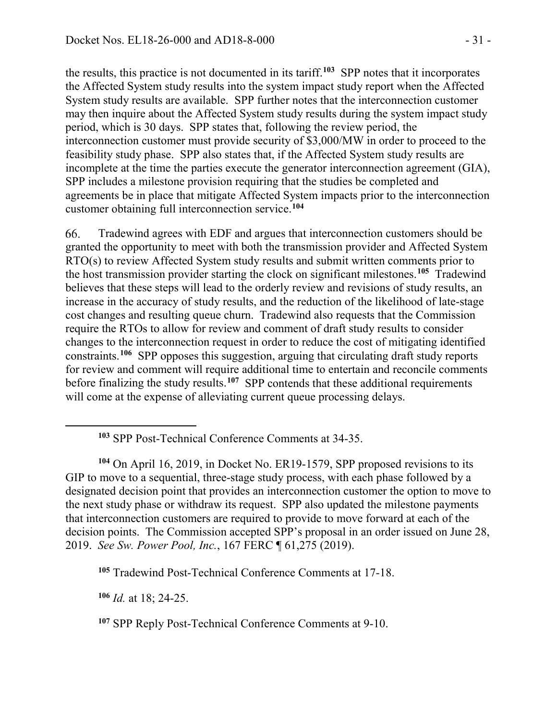the results, this practice is not documented in its tariff.**[103](#page-30-0)** SPP notes that it incorporates the Affected System study results into the system impact study report when the Affected System study results are available. SPP further notes that the interconnection customer may then inquire about the Affected System study results during the system impact study period, which is 30 days. SPP states that, following the review period, the interconnection customer must provide security of \$3,000/MW in order to proceed to the feasibility study phase. SPP also states that, if the Affected System study results are incomplete at the time the parties execute the generator interconnection agreement (GIA), SPP includes a milestone provision requiring that the studies be completed and agreements be in place that mitigate Affected System impacts prior to the interconnection customer obtaining full interconnection service.**[104](#page-30-1)**

Tradewind agrees with EDF and argues that interconnection customers should be 66. granted the opportunity to meet with both the transmission provider and Affected System RTO(s) to review Affected System study results and submit written comments prior to the host transmission provider starting the clock on significant milestones.**[105](#page-30-2)** Tradewind believes that these steps will lead to the orderly review and revisions of study results, an increase in the accuracy of study results, and the reduction of the likelihood of late-stage cost changes and resulting queue churn. Tradewind also requests that the Commission require the RTOs to allow for review and comment of draft study results to consider changes to the interconnection request in order to reduce the cost of mitigating identified constraints.**[106](#page-30-3)** SPP opposes this suggestion, arguing that circulating draft study reports for review and comment will require additional time to entertain and reconcile comments before finalizing the study results.<sup>[107](#page-30-4)</sup> SPP contends that these additional requirements will come at the expense of alleviating current queue processing delays.

<span id="page-30-3"></span>**<sup>106</sup>** *Id.* at 18; 24-25.

<span id="page-30-0"></span>

**<sup>103</sup>** SPP Post-Technical Conference Comments at 34-35.

<span id="page-30-1"></span>**<sup>104</sup>** On April 16, 2019, in Docket No. ER19-1579, SPP proposed revisions to its GIP to move to a sequential, three-stage study process, with each phase followed by a designated decision point that provides an interconnection customer the option to move to the next study phase or withdraw its request. SPP also updated the milestone payments that interconnection customers are required to provide to move forward at each of the decision points. The Commission accepted SPP's proposal in an order issued on June 28, 2019. *See Sw. Power Pool, Inc.*, 167 FERC ¶ 61,275 (2019).

<span id="page-30-2"></span>**<sup>105</sup>** Tradewind Post-Technical Conference Comments at 17-18.

<span id="page-30-4"></span>**<sup>107</sup>** SPP Reply Post-Technical Conference Comments at 9-10.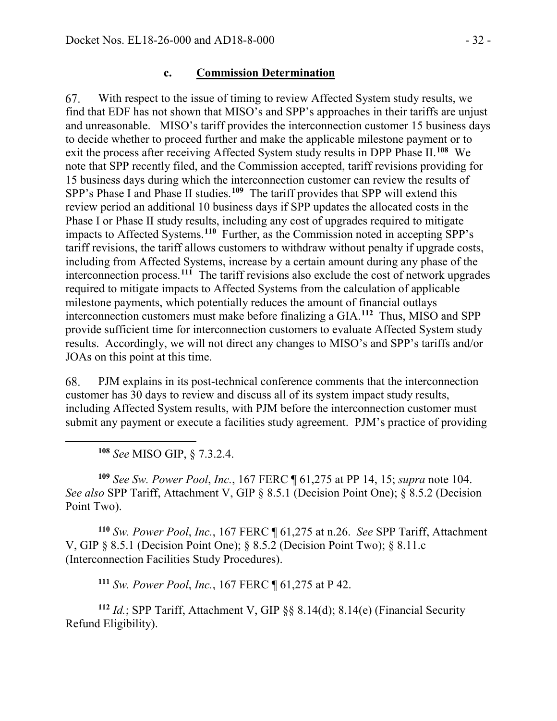#### **c. Commission Determination**

With respect to the issue of timing to review Affected System study results, we 67. find that EDF has not shown that MISO's and SPP's approaches in their tariffs are unjust and unreasonable. MISO's tariff provides the interconnection customer 15 business days to decide whether to proceed further and make the applicable milestone payment or to exit the process after receiving Affected System study results in DPP Phase II.<sup>[108](#page-31-0)</sup> We note that SPP recently filed, and the Commission accepted, tariff revisions providing for 15 business days during which the interconnection customer can review the results of SPP's Phase I and Phase II studies.<sup>[109](#page-31-1)</sup> The tariff provides that SPP will extend this review period an additional 10 business days if SPP updates the allocated costs in the Phase I or Phase II study results, including any cost of upgrades required to mitigate impacts to Affected Systems.**[110](#page-31-2)** Further, as the Commission noted in accepting SPP's tariff revisions, the tariff allows customers to withdraw without penalty if upgrade costs, including from Affected Systems, increase by a certain amount during any phase of the interconnection process. **[111](#page-31-3)** The tariff revisions also exclude the cost of network upgrades required to mitigate impacts to Affected Systems from the calculation of applicable milestone payments, which potentially reduces the amount of financial outlays interconnection customers must make before finalizing a GIA. **[112](#page-31-4)** Thus, MISO and SPP provide sufficient time for interconnection customers to evaluate Affected System study results. Accordingly, we will not direct any changes to MISO's and SPP's tariffs and/or JOAs on this point at this time.

PJM explains in its post-technical conference comments that the interconnection 68. customer has 30 days to review and discuss all of its system impact study results, including Affected System results, with PJM before the interconnection customer must submit any payment or execute a facilities study agreement. PJM's practice of providing

**<sup>108</sup>** *See* MISO GIP, § 7.3.2.4.

<span id="page-31-0"></span> $\overline{a}$ 

<span id="page-31-1"></span>**<sup>109</sup>** *See Sw. Power Pool*, *Inc.*, 167 FERC ¶ 61,275 at PP 14, 15; *supra* note 104. *See also* SPP Tariff, Attachment V, GIP § 8.5.1 (Decision Point One); § 8.5.2 (Decision Point Two).

<span id="page-31-2"></span>**<sup>110</sup>** *Sw. Power Pool*, *Inc.*, 167 FERC ¶ 61,275 at n.26. *See* SPP Tariff, Attachment V, GIP § 8.5.1 (Decision Point One); § 8.5.2 (Decision Point Two); § 8.11.c (Interconnection Facilities Study Procedures).

**<sup>111</sup>** *Sw. Power Pool*, *Inc.*, 167 FERC ¶ 61,275 at P 42.

<span id="page-31-4"></span><span id="page-31-3"></span>**<sup>112</sup>** *Id.*; SPP Tariff, Attachment V, GIP §§ 8.14(d); 8.14(e) (Financial Security Refund Eligibility).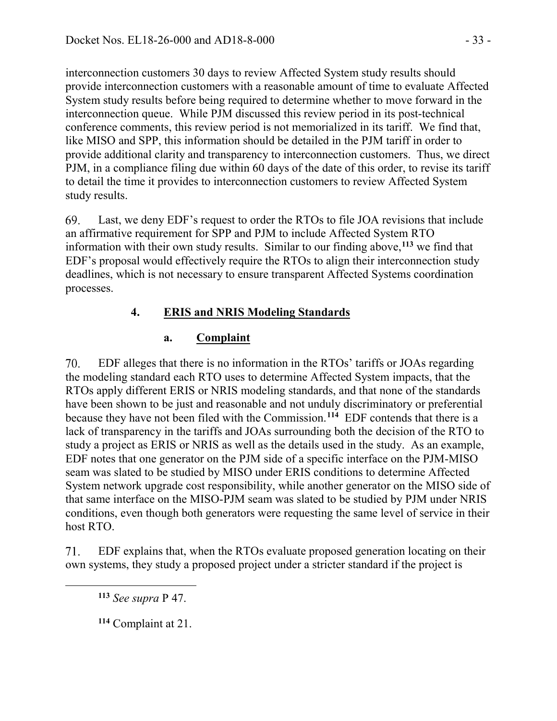interconnection customers 30 days to review Affected System study results should provide interconnection customers with a reasonable amount of time to evaluate Affected System study results before being required to determine whether to move forward in the interconnection queue. While PJM discussed this review period in its post-technical conference comments, this review period is not memorialized in its tariff. We find that, like MISO and SPP, this information should be detailed in the PJM tariff in order to provide additional clarity and transparency to interconnection customers. Thus, we direct PJM, in a compliance filing due within 60 days of the date of this order, to revise its tariff to detail the time it provides to interconnection customers to review Affected System study results.

69. Last, we deny EDF's request to order the RTOs to file JOA revisions that include an affirmative requirement for SPP and PJM to include Affected System RTO information with their own study results. Similar to our finding above, **[113](#page-32-0)** we find that EDF's proposal would effectively require the RTOs to align their interconnection study deadlines, which is not necessary to ensure transparent Affected Systems coordination processes.

# **4. ERIS and NRIS Modeling Standards**

# **a. Complaint**

70. EDF alleges that there is no information in the RTOs' tariffs or JOAs regarding the modeling standard each RTO uses to determine Affected System impacts, that the RTOs apply different ERIS or NRIS modeling standards, and that none of the standards have been shown to be just and reasonable and not unduly discriminatory or preferential because they have not been filed with the Commission. **[114](#page-32-1)** EDF contends that there is a lack of transparency in the tariffs and JOAs surrounding both the decision of the RTO to study a project as ERIS or NRIS as well as the details used in the study. As an example, EDF notes that one generator on the PJM side of a specific interface on the PJM-MISO seam was slated to be studied by MISO under ERIS conditions to determine Affected System network upgrade cost responsibility, while another generator on the MISO side of that same interface on the MISO-PJM seam was slated to be studied by PJM under NRIS conditions, even though both generators were requesting the same level of service in their host RTO.

71. EDF explains that, when the RTOs evaluate proposed generation locating on their own systems, they study a proposed project under a stricter standard if the project is

**<sup>113</sup>** *See supra* P 47.

<span id="page-32-1"></span><span id="page-32-0"></span> $\overline{a}$ 

**<sup>114</sup>** Complaint at 21.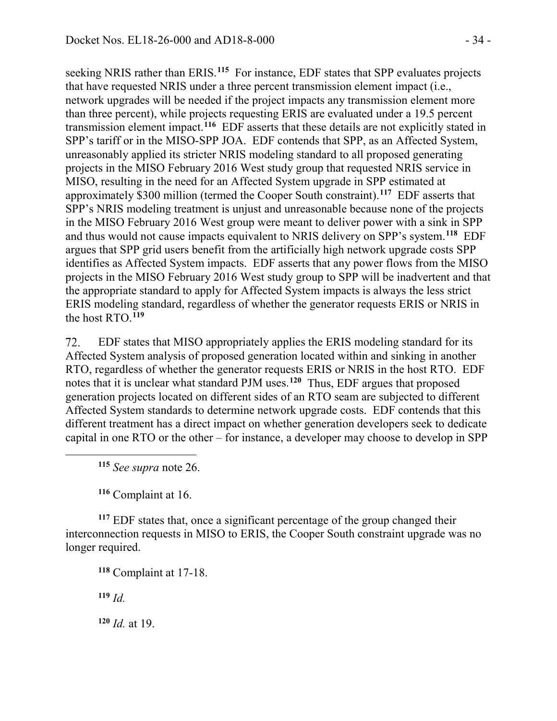seeking NRIS rather than ERIS.**[115](#page-33-0)** For instance, EDF states that SPP evaluates projects that have requested NRIS under a three percent transmission element impact (i.e., network upgrades will be needed if the project impacts any transmission element more than three percent), while projects requesting ERIS are evaluated under a 19.5 percent transmission element impact.**[116](#page-33-1)** EDF asserts that these details are not explicitly stated in SPP's tariff or in the MISO-SPP JOA. EDF contends that SPP, as an Affected System, unreasonably applied its stricter NRIS modeling standard to all proposed generating projects in the MISO February 2016 West study group that requested NRIS service in MISO, resulting in the need for an Affected System upgrade in SPP estimated at approximately \$300 million (termed the Cooper South constraint). **[117](#page-33-2)** EDF asserts that SPP's NRIS modeling treatment is unjust and unreasonable because none of the projects in the MISO February 2016 West group were meant to deliver power with a sink in SPP and thus would not cause impacts equivalent to NRIS delivery on SPP's system.**[118](#page-33-3)** EDF argues that SPP grid users benefit from the artificially high network upgrade costs SPP identifies as Affected System impacts. EDF asserts that any power flows from the MISO projects in the MISO February 2016 West study group to SPP will be inadvertent and that the appropriate standard to apply for Affected System impacts is always the less strict ERIS modeling standard, regardless of whether the generator requests ERIS or NRIS in the host RTO. **[119](#page-33-4)**

72. EDF states that MISO appropriately applies the ERIS modeling standard for its Affected System analysis of proposed generation located within and sinking in another RTO, regardless of whether the generator requests ERIS or NRIS in the host RTO. EDF notes that it is unclear what standard PJM uses.**[120](#page-33-5)** Thus, EDF argues that proposed generation projects located on different sides of an RTO seam are subjected to different Affected System standards to determine network upgrade costs. EDF contends that this different treatment has a direct impact on whether generation developers seek to dedicate capital in one RTO or the other – for instance, a developer may choose to develop in SPP

**<sup>115</sup>** *See supra* note 26.

**<sup>116</sup>** Complaint at 16.

<span id="page-33-3"></span><span id="page-33-2"></span><span id="page-33-1"></span>**<sup>117</sup>** EDF states that, once a significant percentage of the group changed their interconnection requests in MISO to ERIS, the Cooper South constraint upgrade was no longer required.

**<sup>118</sup>** Complaint at 17-18.

<span id="page-33-4"></span>**<sup>119</sup>** *Id.*

<span id="page-33-0"></span> $\overline{a}$ 

<span id="page-33-5"></span>**<sup>120</sup>** *Id.* at 19.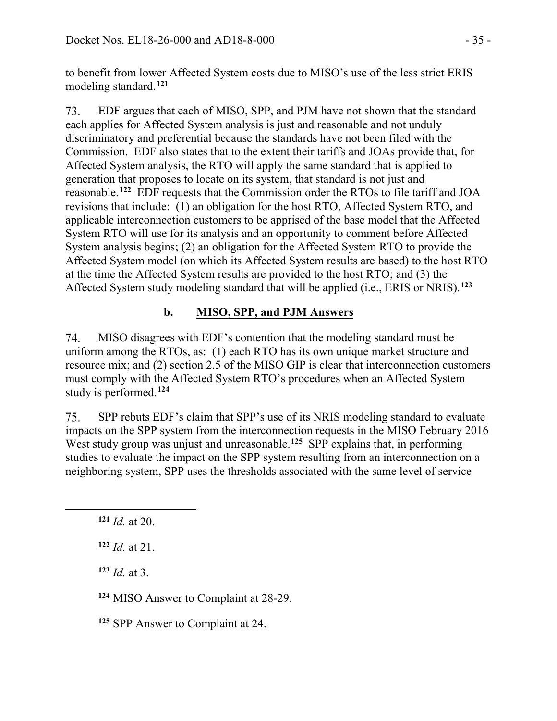to benefit from lower Affected System costs due to MISO's use of the less strict ERIS modeling standard.**[121](#page-34-0)**

73. EDF argues that each of MISO, SPP, and PJM have not shown that the standard each applies for Affected System analysis is just and reasonable and not unduly discriminatory and preferential because the standards have not been filed with the Commission. EDF also states that to the extent their tariffs and JOAs provide that, for Affected System analysis, the RTO will apply the same standard that is applied to generation that proposes to locate on its system, that standard is not just and reasonable.**[122](#page-34-1)** EDF requests that the Commission order the RTOs to file tariff and JOA revisions that include: (1) an obligation for the host RTO, Affected System RTO, and applicable interconnection customers to be apprised of the base model that the Affected System RTO will use for its analysis and an opportunity to comment before Affected System analysis begins; (2) an obligation for the Affected System RTO to provide the Affected System model (on which its Affected System results are based) to the host RTO at the time the Affected System results are provided to the host RTO; and (3) the Affected System study modeling standard that will be applied (i.e., ERIS or NRIS).**[123](#page-34-2)**

# **b. MISO, SPP, and PJM Answers**

74. MISO disagrees with EDF's contention that the modeling standard must be uniform among the RTOs, as: (1) each RTO has its own unique market structure and resource mix; and (2) section 2.5 of the MISO GIP is clear that interconnection customers must comply with the Affected System RTO's procedures when an Affected System study is performed.**[124](#page-34-3)**

75. SPP rebuts EDF's claim that SPP's use of its NRIS modeling standard to evaluate impacts on the SPP system from the interconnection requests in the MISO February 2016 West study group was unjust and unreasonable.<sup>[125](#page-34-4)</sup> SPP explains that, in performing studies to evaluate the impact on the SPP system resulting from an interconnection on a neighboring system, SPP uses the thresholds associated with the same level of service

<span id="page-34-2"></span><span id="page-34-1"></span><span id="page-34-0"></span> $\overline{a}$ 

**<sup>123</sup>** *Id.* at 3.

<span id="page-34-3"></span>**<sup>124</sup>** MISO Answer to Complaint at 28-29.

<span id="page-34-4"></span>**<sup>125</sup>** SPP Answer to Complaint at 24.

**<sup>121</sup>** *Id.* at 20.

**<sup>122</sup>** *Id.* at 21.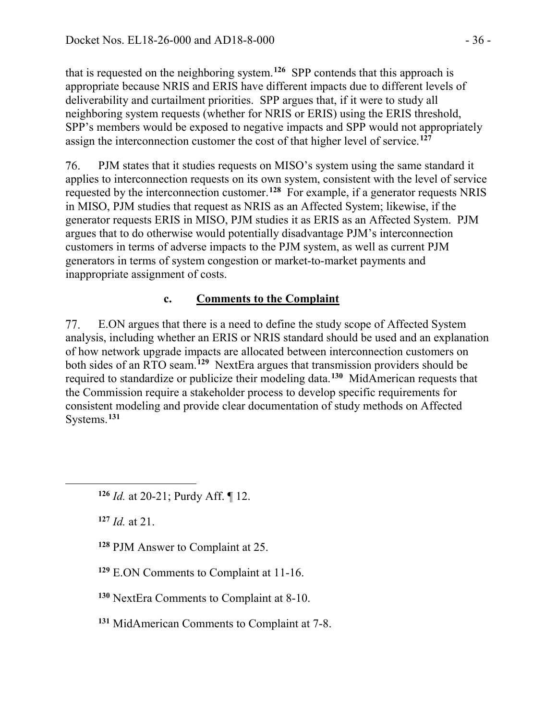that is requested on the neighboring system.**[126](#page-35-0)** SPP contends that this approach is appropriate because NRIS and ERIS have different impacts due to different levels of deliverability and curtailment priorities. SPP argues that, if it were to study all neighboring system requests (whether for NRIS or ERIS) using the ERIS threshold, SPP's members would be exposed to negative impacts and SPP would not appropriately assign the interconnection customer the cost of that higher level of service.**[127](#page-35-1)**

76. PJM states that it studies requests on MISO's system using the same standard it applies to interconnection requests on its own system, consistent with the level of service requested by the interconnection customer.**[128](#page-35-2)** For example, if a generator requests NRIS in MISO, PJM studies that request as NRIS as an Affected System; likewise, if the generator requests ERIS in MISO, PJM studies it as ERIS as an Affected System. PJM argues that to do otherwise would potentially disadvantage PJM's interconnection customers in terms of adverse impacts to the PJM system, as well as current PJM generators in terms of system congestion or market-to-market payments and inappropriate assignment of costs.

# **c. Comments to the Complaint**

77. E.ON argues that there is a need to define the study scope of Affected System analysis, including whether an ERIS or NRIS standard should be used and an explanation of how network upgrade impacts are allocated between interconnection customers on both sides of an RTO seam.**[129](#page-35-3)** NextEra argues that transmission providers should be required to standardize or publicize their modeling data.**[130](#page-35-4)** MidAmerican requests that the Commission require a stakeholder process to develop specific requirements for consistent modeling and provide clear documentation of study methods on Affected Systems.**[131](#page-35-5)**

**<sup>127</sup>** *Id.* at 21.

<span id="page-35-2"></span><span id="page-35-1"></span><span id="page-35-0"></span> $\overline{a}$ 

**<sup>128</sup>** PJM Answer to Complaint at 25.

<span id="page-35-3"></span>**<sup>129</sup>** E.ON Comments to Complaint at 11-16.

<span id="page-35-4"></span>**<sup>130</sup>** NextEra Comments to Complaint at 8-10.

<span id="page-35-5"></span>**<sup>131</sup>** MidAmerican Comments to Complaint at 7-8.

**<sup>126</sup>** *Id.* at 20-21; Purdy Aff. ¶ 12.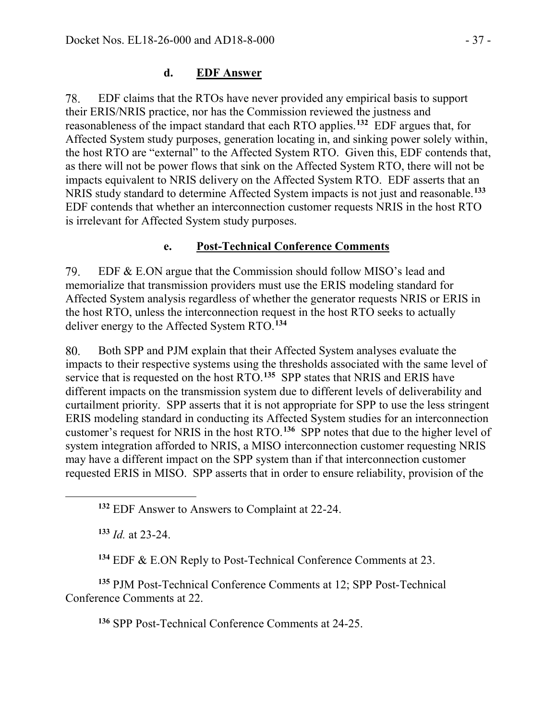#### **d. EDF Answer**

EDF claims that the RTOs have never provided any empirical basis to support 78. their ERIS/NRIS practice, nor has the Commission reviewed the justness and reasonableness of the impact standard that each RTO applies.**[132](#page-36-0)** EDF argues that, for Affected System study purposes, generation locating in, and sinking power solely within, the host RTO are "external" to the Affected System RTO. Given this, EDF contends that, as there will not be power flows that sink on the Affected System RTO, there will not be impacts equivalent to NRIS delivery on the Affected System RTO. EDF asserts that an NRIS study standard to determine Affected System impacts is not just and reasonable.**[133](#page-36-1)** EDF contends that whether an interconnection customer requests NRIS in the host RTO is irrelevant for Affected System study purposes.

#### **e. Post-Technical Conference Comments**

79. EDF & E.ON argue that the Commission should follow MISO's lead and memorialize that transmission providers must use the ERIS modeling standard for Affected System analysis regardless of whether the generator requests NRIS or ERIS in the host RTO, unless the interconnection request in the host RTO seeks to actually deliver energy to the Affected System RTO. **[134](#page-36-2)**

80. Both SPP and PJM explain that their Affected System analyses evaluate the impacts to their respective systems using the thresholds associated with the same level of service that is requested on the host RTO. **[135](#page-36-3)** SPP states that NRIS and ERIS have different impacts on the transmission system due to different levels of deliverability and curtailment priority. SPP asserts that it is not appropriate for SPP to use the less stringent ERIS modeling standard in conducting its Affected System studies for an interconnection customer's request for NRIS in the host RTO. **[136](#page-36-4)** SPP notes that due to the higher level of system integration afforded to NRIS, a MISO interconnection customer requesting NRIS may have a different impact on the SPP system than if that interconnection customer requested ERIS in MISO. SPP asserts that in order to ensure reliability, provision of the

**<sup>133</sup>** *Id.* at 23-24.

<span id="page-36-1"></span><span id="page-36-0"></span> $\overline{a}$ 

**<sup>134</sup>** EDF & E.ON Reply to Post-Technical Conference Comments at 23.

<span id="page-36-4"></span><span id="page-36-3"></span><span id="page-36-2"></span>**<sup>135</sup>** PJM Post-Technical Conference Comments at 12; SPP Post-Technical Conference Comments at 22.

**<sup>136</sup>** SPP Post-Technical Conference Comments at 24-25.

**<sup>132</sup>** EDF Answer to Answers to Complaint at 22-24.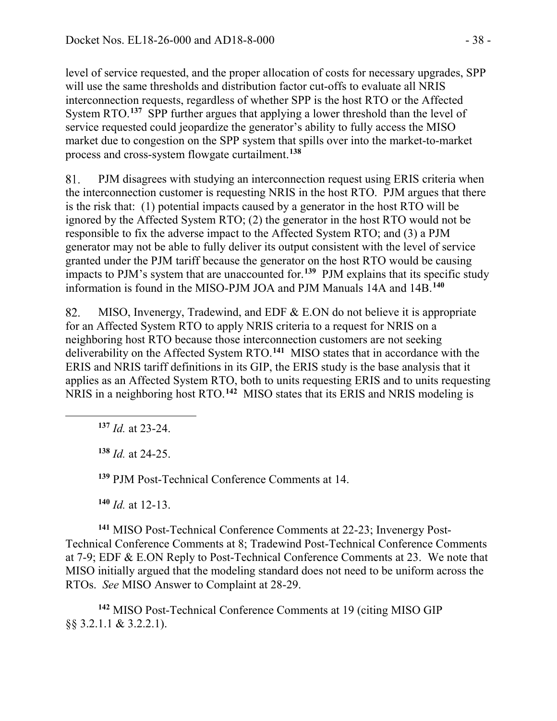level of service requested, and the proper allocation of costs for necessary upgrades, SPP will use the same thresholds and distribution factor cut-offs to evaluate all NRIS interconnection requests, regardless of whether SPP is the host RTO or the Affected System RTO.<sup>[137](#page-37-0)</sup> SPP further argues that applying a lower threshold than the level of service requested could jeopardize the generator's ability to fully access the MISO market due to congestion on the SPP system that spills over into the market-to-market process and cross-system flowgate curtailment.**[138](#page-37-1)**

PJM disagrees with studying an interconnection request using ERIS criteria when 81. the interconnection customer is requesting NRIS in the host RTO. PJM argues that there is the risk that: (1) potential impacts caused by a generator in the host RTO will be ignored by the Affected System RTO; (2) the generator in the host RTO would not be responsible to fix the adverse impact to the Affected System RTO; and (3) a PJM generator may not be able to fully deliver its output consistent with the level of service granted under the PJM tariff because the generator on the host RTO would be causing impacts to PJM's system that are unaccounted for. **[139](#page-37-2)** PJM explains that its specific study information is found in the MISO-PJM JOA and PJM Manuals 14A and 14B.**[140](#page-37-3)**

82. MISO, Invenergy, Tradewind, and EDF & E.ON do not believe it is appropriate for an Affected System RTO to apply NRIS criteria to a request for NRIS on a neighboring host RTO because those interconnection customers are not seeking deliverability on the Affected System RTO. **[141](#page-37-4)** MISO states that in accordance with the ERIS and NRIS tariff definitions in its GIP, the ERIS study is the base analysis that it applies as an Affected System RTO, both to units requesting ERIS and to units requesting NRIS in a neighboring host RTO. **[142](#page-37-5)** MISO states that its ERIS and NRIS modeling is

**<sup>137</sup>** *Id.* at 23-24.

<span id="page-37-1"></span><span id="page-37-0"></span> $\overline{a}$ 

**<sup>138</sup>** *Id.* at 24-25.

**<sup>139</sup>** PJM Post-Technical Conference Comments at 14.

**<sup>140</sup>** *Id.* at 12-13.

<span id="page-37-4"></span><span id="page-37-3"></span><span id="page-37-2"></span>**<sup>141</sup>** MISO Post-Technical Conference Comments at 22-23; Invenergy Post-Technical Conference Comments at 8; Tradewind Post-Technical Conference Comments at 7-9; EDF & E.ON Reply to Post-Technical Conference Comments at 23.We note that MISO initially argued that the modeling standard does not need to be uniform across the RTOs.*See* MISO Answer to Complaint at 28-29.

<span id="page-37-5"></span>**<sup>142</sup>** MISO Post-Technical Conference Comments at 19 (citing MISO GIP §§ 3.2.1.1 & 3.2.2.1).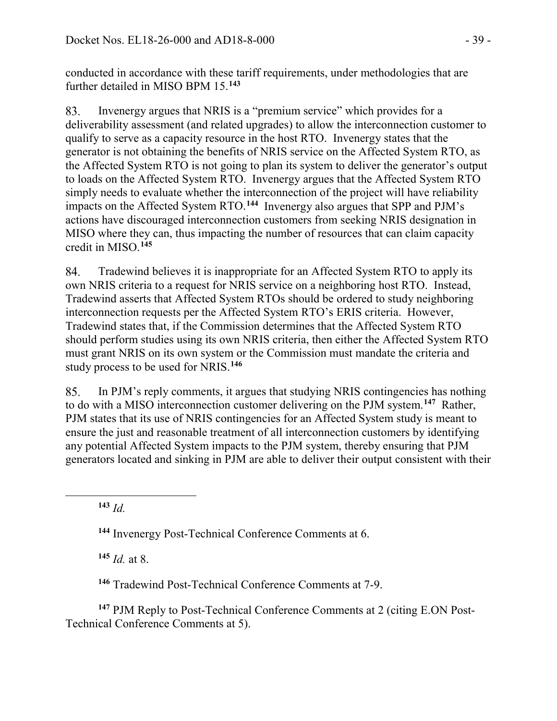conducted in accordance with these tariff requirements, under methodologies that are further detailed in MISO BPM 15. **[143](#page-38-0)**

Invenergy argues that NRIS is a "premium service" which provides for a 83. deliverability assessment (and related upgrades) to allow the interconnection customer to qualify to serve as a capacity resource in the host RTO. Invenergy states that the generator is not obtaining the benefits of NRIS service on the Affected System RTO, as the Affected System RTO is not going to plan its system to deliver the generator's output to loads on the Affected System RTO. Invenergy argues that the Affected System RTO simply needs to evaluate whether the interconnection of the project will have reliability impacts on the Affected System RTO. **[144](#page-38-1)** Invenergy also argues that SPP and PJM's actions have discouraged interconnection customers from seeking NRIS designation in MISO where they can, thus impacting the number of resources that can claim capacity credit in MISO.**[145](#page-38-2)**

84. Tradewind believes it is inappropriate for an Affected System RTO to apply its own NRIS criteria to a request for NRIS service on a neighboring host RTO. Instead, Tradewind asserts that Affected System RTOs should be ordered to study neighboring interconnection requests per the Affected System RTO's ERIS criteria. However, Tradewind states that, if the Commission determines that the Affected System RTO should perform studies using its own NRIS criteria, then either the Affected System RTO must grant NRIS on its own system or the Commission must mandate the criteria and study process to be used for NRIS.**[146](#page-38-3)**

In PJM's reply comments, it argues that studying NRIS contingencies has nothing 85. to do with a MISO interconnection customer delivering on the PJM system.**[147](#page-38-4)** Rather, PJM states that its use of NRIS contingencies for an Affected System study is meant to ensure the just and reasonable treatment of all interconnection customers by identifying any potential Affected System impacts to the PJM system, thereby ensuring that PJM generators located and sinking in PJM are able to deliver their output consistent with their

**<sup>143</sup>** *Id.*

<span id="page-38-1"></span><span id="page-38-0"></span> $\overline{a}$ 

**<sup>144</sup>** Invenergy Post-Technical Conference Comments at 6.

**<sup>145</sup>** *Id.* at 8.

**<sup>146</sup>** Tradewind Post-Technical Conference Comments at 7-9.

<span id="page-38-4"></span><span id="page-38-3"></span><span id="page-38-2"></span>**<sup>147</sup>** PJM Reply to Post-Technical Conference Comments at 2 (citing E.ON Post-Technical Conference Comments at 5).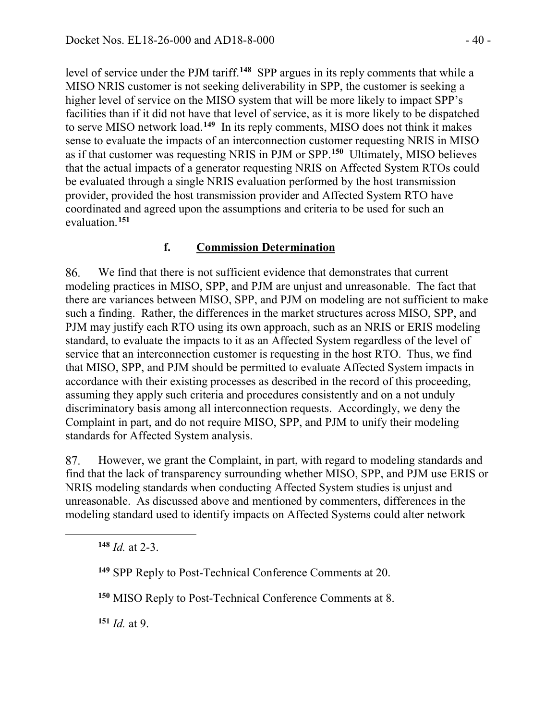level of service under the PJM tariff.**[148](#page-39-0)** SPP argues in its reply comments that while a MISO NRIS customer is not seeking deliverability in SPP, the customer is seeking a higher level of service on the MISO system that will be more likely to impact SPP's facilities than if it did not have that level of service, as it is more likely to be dispatched to serve MISO network load.**[149](#page-39-1)** In its reply comments, MISO does not think it makes sense to evaluate the impacts of an interconnection customer requesting NRIS in MISO as if that customer was requesting NRIS in PJM or SPP.**[150](#page-39-2)** Ultimately, MISO believes that the actual impacts of a generator requesting NRIS on Affected System RTOs could be evaluated through a single NRIS evaluation performed by the host transmission provider, provided the host transmission provider and Affected System RTO have coordinated and agreed upon the assumptions and criteria to be used for such an evaluation.**[151](#page-39-3)**

#### **f. Commission Determination**

86. We find that there is not sufficient evidence that demonstrates that current modeling practices in MISO, SPP, and PJM are unjust and unreasonable. The fact that there are variances between MISO, SPP, and PJM on modeling are not sufficient to make such a finding. Rather, the differences in the market structures across MISO, SPP, and PJM may justify each RTO using its own approach, such as an NRIS or ERIS modeling standard, to evaluate the impacts to it as an Affected System regardless of the level of service that an interconnection customer is requesting in the host RTO. Thus, we find that MISO, SPP, and PJM should be permitted to evaluate Affected System impacts in accordance with their existing processes as described in the record of this proceeding, assuming they apply such criteria and procedures consistently and on a not unduly discriminatory basis among all interconnection requests. Accordingly, we deny the Complaint in part, and do not require MISO, SPP, and PJM to unify their modeling standards for Affected System analysis.

87. However, we grant the Complaint, in part, with regard to modeling standards and find that the lack of transparency surrounding whether MISO, SPP, and PJM use ERIS or NRIS modeling standards when conducting Affected System studies is unjust and unreasonable. As discussed above and mentioned by commenters, differences in the modeling standard used to identify impacts on Affected Systems could alter network

**<sup>148</sup>** *Id.* at 2-3.

<span id="page-39-2"></span><span id="page-39-1"></span><span id="page-39-0"></span> $\overline{a}$ 

<span id="page-39-3"></span>**<sup>151</sup>** *Id.* at 9.

**<sup>149</sup>** SPP Reply to Post-Technical Conference Comments at 20.

**<sup>150</sup>** MISO Reply to Post-Technical Conference Comments at 8.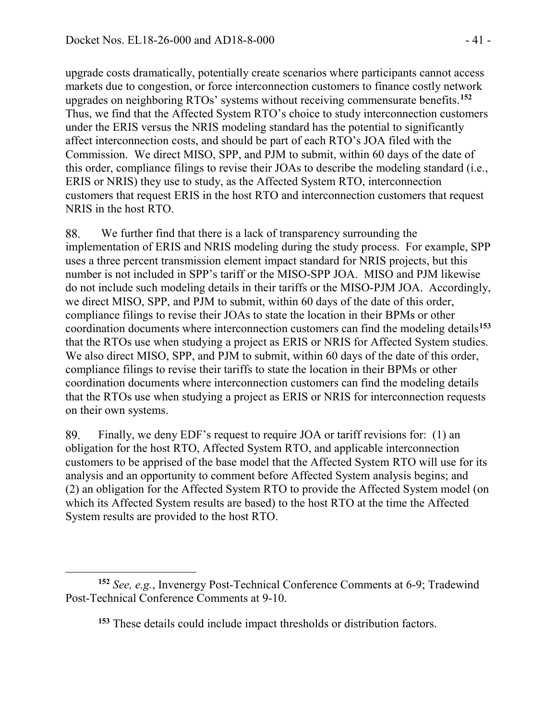$\overline{a}$ 

upgrade costs dramatically, potentially create scenarios where participants cannot access markets due to congestion, or force interconnection customers to finance costly network upgrades on neighboring RTOs' systems without receiving commensurate benefits.**[152](#page-40-0)** Thus, we find that the Affected System RTO's choice to study interconnection customers under the ERIS versus the NRIS modeling standard has the potential to significantly affect interconnection costs, and should be part of each RTO's JOA filed with the Commission. We direct MISO, SPP, and PJM to submit, within 60 days of the date of this order, compliance filings to revise their JOAs to describe the modeling standard (i.e., ERIS or NRIS) they use to study, as the Affected System RTO, interconnection customers that request ERIS in the host RTO and interconnection customers that request NRIS in the host RTO.

88. We further find that there is a lack of transparency surrounding the implementation of ERIS and NRIS modeling during the study process. For example, SPP uses a three percent transmission element impact standard for NRIS projects, but this number is not included in SPP's tariff or the MISO-SPP JOA. MISO and PJM likewise do not include such modeling details in their tariffs or the MISO-PJM JOA. Accordingly, we direct MISO, SPP, and PJM to submit, within 60 days of the date of this order, compliance filings to revise their JOAs to state the location in their BPMs or other coordination documents where interconnection customers can find the modeling details**[153](#page-40-1)** that the RTOs use when studying a project as ERIS or NRIS for Affected System studies. We also direct MISO, SPP, and PJM to submit, within 60 days of the date of this order, compliance filings to revise their tariffs to state the location in their BPMs or other coordination documents where interconnection customers can find the modeling details that the RTOs use when studying a project as ERIS or NRIS for interconnection requests on their own systems.

89. Finally, we deny EDF's request to require JOA or tariff revisions for: (1) an obligation for the host RTO, Affected System RTO, and applicable interconnection customers to be apprised of the base model that the Affected System RTO will use for its analysis and an opportunity to comment before Affected System analysis begins; and (2) an obligation for the Affected System RTO to provide the Affected System model (on which its Affected System results are based) to the host RTO at the time the Affected System results are provided to the host RTO.

<span id="page-40-1"></span><span id="page-40-0"></span>**<sup>152</sup>** *See, e.g.*, Invenergy Post-Technical Conference Comments at 6-9; Tradewind Post-Technical Conference Comments at 9-10.

**<sup>153</sup>** These details could include impact thresholds or distribution factors.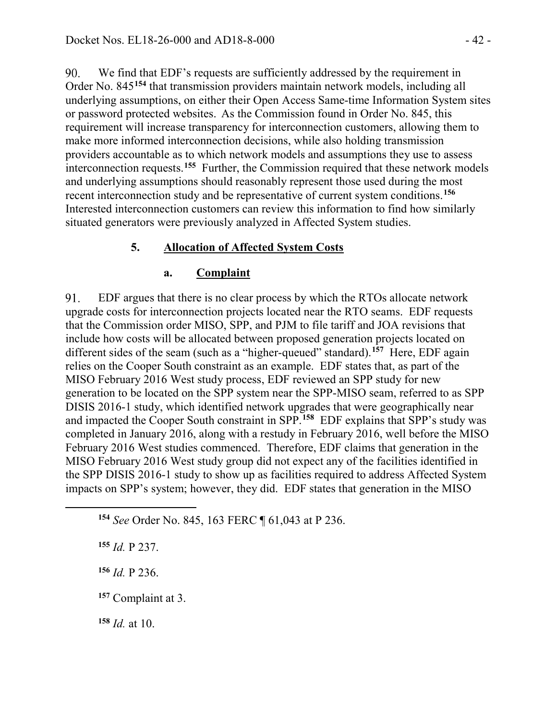We find that EDF's requests are sufficiently addressed by the requirement in  $90<sub>1</sub>$ Order No. 845**[154](#page-41-0)** that transmission providers maintain network models, including all underlying assumptions, on either their Open Access Same-time Information System sites or password protected websites. As the Commission found in Order No. 845, this requirement will increase transparency for interconnection customers, allowing them to make more informed interconnection decisions, while also holding transmission providers accountable as to which network models and assumptions they use to assess interconnection requests.**[155](#page-41-1)** Further, the Commission required that these network models and underlying assumptions should reasonably represent those used during the most recent interconnection study and be representative of current system conditions.**[156](#page-41-2)** Interested interconnection customers can review this information to find how similarly situated generators were previously analyzed in Affected System studies.

#### **5. Allocation of Affected System Costs**

#### **a. Complaint**

91. EDF argues that there is no clear process by which the RTOs allocate network upgrade costs for interconnection projects located near the RTO seams. EDF requests that the Commission order MISO, SPP, and PJM to file tariff and JOA revisions that include how costs will be allocated between proposed generation projects located on different sides of the seam (such as a "higher-queued" standard).**[157](#page-41-3)** Here, EDF again relies on the Cooper South constraint as an example. EDF states that, as part of the MISO February 2016 West study process, EDF reviewed an SPP study for new generation to be located on the SPP system near the SPP-MISO seam, referred to as SPP DISIS 2016-1 study, which identified network upgrades that were geographically near and impacted the Cooper South constraint in SPP.**[158](#page-41-4)** EDF explains that SPP's study was completed in January 2016, along with a restudy in February 2016, well before the MISO February 2016 West studies commenced. Therefore, EDF claims that generation in the MISO February 2016 West study group did not expect any of the facilities identified in the SPP DISIS 2016-1 study to show up as facilities required to address Affected System impacts on SPP's system; however, they did. EDF states that generation in the MISO

**<sup>154</sup>** *See* Order No. 845, 163 FERC ¶ 61,043 at P 236.

**<sup>155</sup>** *Id.* P 237.

<span id="page-41-2"></span><span id="page-41-1"></span><span id="page-41-0"></span> $\overline{a}$ 

**<sup>156</sup>** *Id.* P 236.

<span id="page-41-3"></span>**<sup>157</sup>** Complaint at 3.

<span id="page-41-4"></span>**<sup>158</sup>** *Id.* at 10.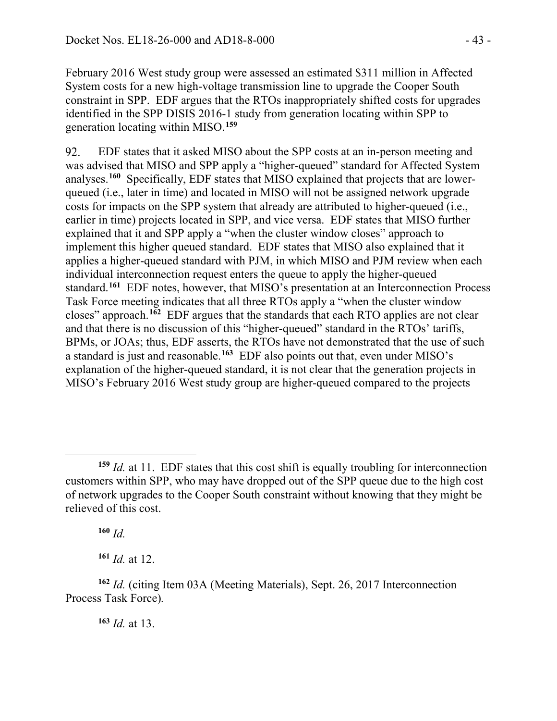February 2016 West study group were assessed an estimated \$311 million in Affected System costs for a new high-voltage transmission line to upgrade the Cooper South constraint in SPP. EDF argues that the RTOs inappropriately shifted costs for upgrades identified in the SPP DISIS 2016-1 study from generation locating within SPP to generation locating within MISO.**[159](#page-42-0)**

92. EDF states that it asked MISO about the SPP costs at an in-person meeting and was advised that MISO and SPP apply a "higher-queued" standard for Affected System analyses.**[160](#page-42-1)** Specifically, EDF states that MISO explained that projects that are lowerqueued (i.e., later in time) and located in MISO will not be assigned network upgrade costs for impacts on the SPP system that already are attributed to higher-queued (i.e., earlier in time) projects located in SPP, and vice versa. EDF states that MISO further explained that it and SPP apply a "when the cluster window closes" approach to implement this higher queued standard. EDF states that MISO also explained that it applies a higher-queued standard with PJM, in which MISO and PJM review when each individual interconnection request enters the queue to apply the higher-queued standard.**[161](#page-42-2)** EDF notes, however, that MISO's presentation at an Interconnection Process Task Force meeting indicates that all three RTOs apply a "when the cluster window closes" approach.**[162](#page-42-3)** EDF argues that the standards that each RTO applies are not clear and that there is no discussion of this "higher-queued" standard in the RTOs' tariffs, BPMs, or JOAs; thus, EDF asserts, the RTOs have not demonstrated that the use of such a standard is just and reasonable.**[163](#page-42-4)** EDF also points out that, even under MISO's explanation of the higher-queued standard, it is not clear that the generation projects in MISO's February 2016 West study group are higher-queued compared to the projects

**<sup>160</sup>** *Id.*

**<sup>161</sup>** *Id.* at 12.

<span id="page-42-0"></span> $\overline{a}$ **<sup>159</sup>** *Id.* at 11. EDF states that this cost shift is equally troubling for interconnection customers within SPP, who may have dropped out of the SPP queue due to the high cost of network upgrades to the Cooper South constraint without knowing that they might be relieved of this cost.

<span id="page-42-4"></span><span id="page-42-3"></span><span id="page-42-2"></span><span id="page-42-1"></span>**<sup>162</sup>** *Id.* (citing Item 03A (Meeting Materials), Sept. 26, 2017 Interconnection Process Task Force)*.*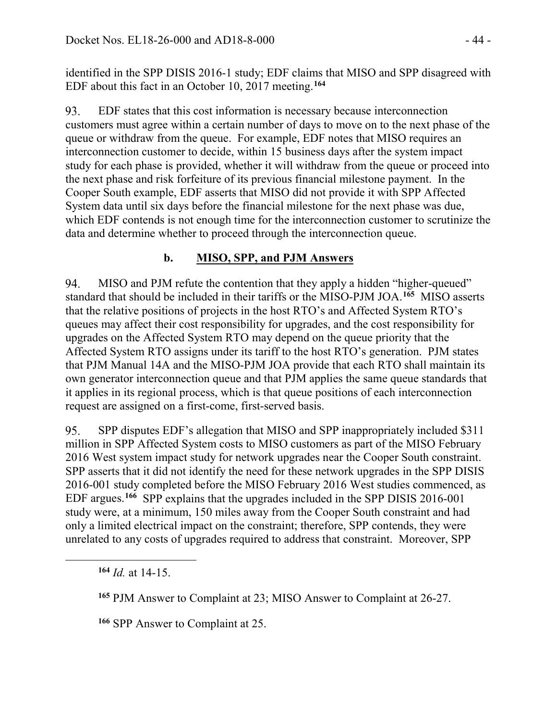identified in the SPP DISIS 2016-1 study; EDF claims that MISO and SPP disagreed with EDF about this fact in an October 10, 2017 meeting.**[164](#page-43-0)**

93. EDF states that this cost information is necessary because interconnection customers must agree within a certain number of days to move on to the next phase of the queue or withdraw from the queue. For example, EDF notes that MISO requires an interconnection customer to decide, within 15 business days after the system impact study for each phase is provided, whether it will withdraw from the queue or proceed into the next phase and risk forfeiture of its previous financial milestone payment. In the Cooper South example, EDF asserts that MISO did not provide it with SPP Affected System data until six days before the financial milestone for the next phase was due, which EDF contends is not enough time for the interconnection customer to scrutinize the data and determine whether to proceed through the interconnection queue.

# **b. MISO, SPP, and PJM Answers**

94. MISO and PJM refute the contention that they apply a hidden "higher-queued" standard that should be included in their tariffs or the MISO-PJM JOA.**[165](#page-43-1)** MISO asserts that the relative positions of projects in the host RTO's and Affected System RTO's queues may affect their cost responsibility for upgrades, and the cost responsibility for upgrades on the Affected System RTO may depend on the queue priority that the Affected System RTO assigns under its tariff to the host RTO's generation. PJM states that PJM Manual 14A and the MISO-PJM JOA provide that each RTO shall maintain its own generator interconnection queue and that PJM applies the same queue standards that it applies in its regional process, which is that queue positions of each interconnection request are assigned on a first-come, first-served basis.

SPP disputes EDF's allegation that MISO and SPP inappropriately included \$311 95. million in SPP Affected System costs to MISO customers as part of the MISO February 2016 West system impact study for network upgrades near the Cooper South constraint. SPP asserts that it did not identify the need for these network upgrades in the SPP DISIS 2016-001 study completed before the MISO February 2016 West studies commenced, as EDF argues. **[166](#page-43-2)** SPP explains that the upgrades included in the SPP DISIS 2016-001 study were, at a minimum, 150 miles away from the Cooper South constraint and had only a limited electrical impact on the constraint; therefore, SPP contends, they were unrelated to any costs of upgrades required to address that constraint. Moreover, SPP

**<sup>164</sup>** *Id.* at 14-15.

<span id="page-43-2"></span><span id="page-43-1"></span><span id="page-43-0"></span> $\overline{a}$ 

**<sup>166</sup>** SPP Answer to Complaint at 25.

**<sup>165</sup>** PJM Answer to Complaint at 23; MISO Answer to Complaint at 26-27.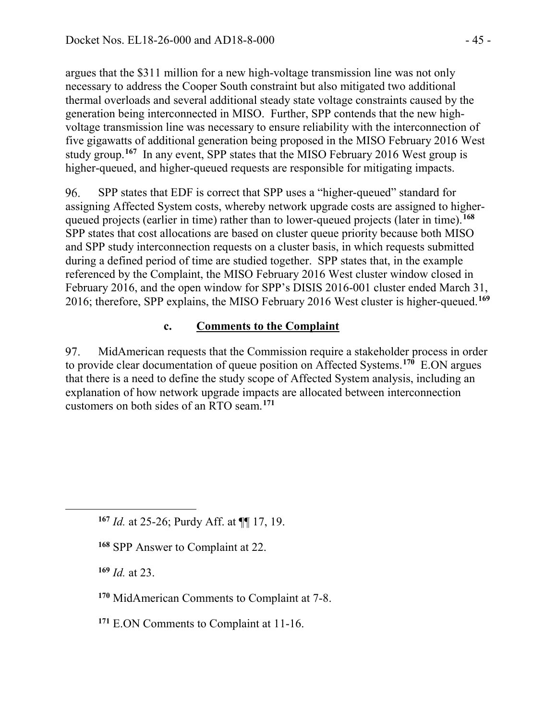argues that the \$311 million for a new high-voltage transmission line was not only necessary to address the Cooper South constraint but also mitigated two additional thermal overloads and several additional steady state voltage constraints caused by the generation being interconnected in MISO. Further, SPP contends that the new highvoltage transmission line was necessary to ensure reliability with the interconnection of five gigawatts of additional generation being proposed in the MISO February 2016 West study group.**[167](#page-44-0)** In any event, SPP states that the MISO February 2016 West group is higher-queued, and higher-queued requests are responsible for mitigating impacts.

96. SPP states that EDF is correct that SPP uses a "higher-queued" standard for assigning Affected System costs, whereby network upgrade costs are assigned to higherqueued projects (earlier in time) rather than to lower-queued projects (later in time).**[168](#page-44-1)** SPP states that cost allocations are based on cluster queue priority because both MISO and SPP study interconnection requests on a cluster basis, in which requests submitted during a defined period of time are studied together. SPP states that, in the example referenced by the Complaint, the MISO February 2016 West cluster window closed in February 2016, and the open window for SPP's DISIS 2016-001 cluster ended March 31, 2016; therefore, SPP explains, the MISO February 2016 West cluster is higher-queued.**[169](#page-44-2)**

# **c. Comments to the Complaint**

97. MidAmerican requests that the Commission require a stakeholder process in order to provide clear documentation of queue position on Affected Systems.**[170](#page-44-3)** E.ON argues that there is a need to define the study scope of Affected System analysis, including an explanation of how network upgrade impacts are allocated between interconnection customers on both sides of an RTO seam.**[171](#page-44-4)**

**<sup>169</sup>** *Id.* at 23.

<span id="page-44-2"></span><span id="page-44-1"></span><span id="page-44-0"></span> $\overline{a}$ 

- <span id="page-44-3"></span>**<sup>170</sup>** MidAmerican Comments to Complaint at 7-8.
- <span id="page-44-4"></span>**<sup>171</sup>** E.ON Comments to Complaint at 11-16.

**<sup>167</sup>** *Id.* at 25-26; Purdy Aff. at ¶¶ 17, 19.

**<sup>168</sup>** SPP Answer to Complaint at 22.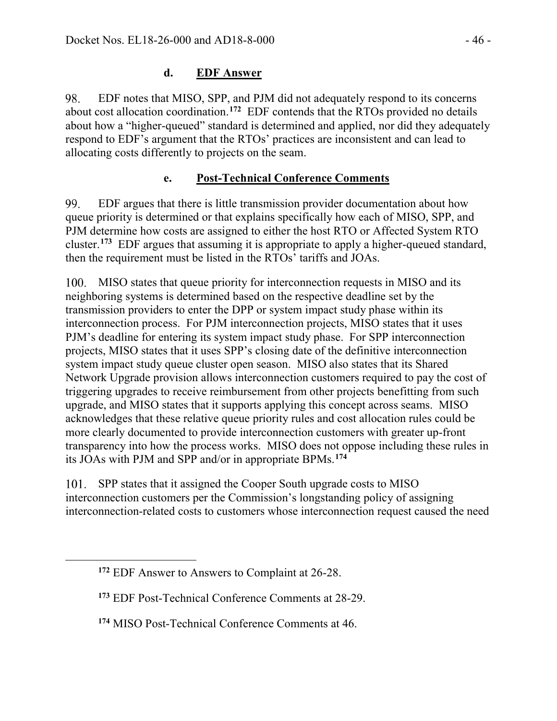EDF notes that MISO, SPP, and PJM did not adequately respond to its concerns 98. about cost allocation coordination.**[172](#page-45-0)** EDF contends that the RTOs provided no details about how a "higher-queued" standard is determined and applied, nor did they adequately respond to EDF's argument that the RTOs' practices are inconsistent and can lead to allocating costs differently to projects on the seam.

# **e. Post-Technical Conference Comments**

99. EDF argues that there is little transmission provider documentation about how queue priority is determined or that explains specifically how each of MISO, SPP, and PJM determine how costs are assigned to either the host RTO or Affected System RTO cluster.**[173](#page-45-1)** EDF argues that assuming it is appropriate to apply a higher-queued standard, then the requirement must be listed in the RTOs' tariffs and JOAs.

100. MISO states that queue priority for interconnection requests in MISO and its neighboring systems is determined based on the respective deadline set by the transmission providers to enter the DPP or system impact study phase within its interconnection process. For PJM interconnection projects, MISO states that it uses PJM's deadline for entering its system impact study phase. For SPP interconnection projects, MISO states that it uses SPP's closing date of the definitive interconnection system impact study queue cluster open season. MISO also states that its Shared Network Upgrade provision allows interconnection customers required to pay the cost of triggering upgrades to receive reimbursement from other projects benefitting from such upgrade, and MISO states that it supports applying this concept across seams. MISO acknowledges that these relative queue priority rules and cost allocation rules could be more clearly documented to provide interconnection customers with greater up-front transparency into how the process works. MISO does not oppose including these rules in its JOAs with PJM and SPP and/or in appropriate BPMs.**[174](#page-45-2)**

101. SPP states that it assigned the Cooper South upgrade costs to MISO interconnection customers per the Commission's longstanding policy of assigning interconnection-related costs to customers whose interconnection request caused the need

<span id="page-45-2"></span><span id="page-45-1"></span><span id="page-45-0"></span> $\overline{a}$ 

**<sup>172</sup>** EDF Answer to Answers to Complaint at 26-28.

**<sup>173</sup>** EDF Post-Technical Conference Comments at 28-29.

**<sup>174</sup>** MISO Post-Technical Conference Comments at 46.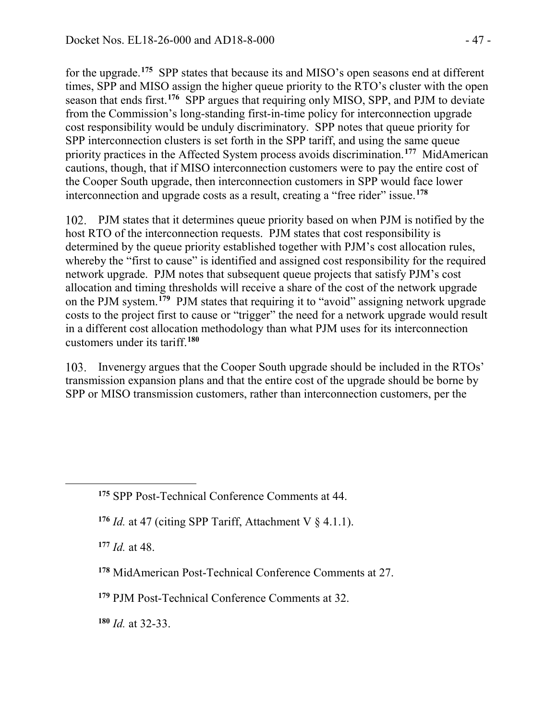for the upgrade.**[175](#page-46-0)** SPP states that because its and MISO's open seasons end at different times, SPP and MISO assign the higher queue priority to the RTO's cluster with the open season that ends first.**[176](#page-46-1)** SPP argues that requiring only MISO, SPP, and PJM to deviate from the Commission's long-standing first-in-time policy for interconnection upgrade cost responsibility would be unduly discriminatory. SPP notes that queue priority for SPP interconnection clusters is set forth in the SPP tariff, and using the same queue priority practices in the Affected System process avoids discrimination.**[177](#page-46-2)** MidAmerican cautions, though, that if MISO interconnection customers were to pay the entire cost of the Cooper South upgrade, then interconnection customers in SPP would face lower interconnection and upgrade costs as a result, creating a "free rider" issue.**[178](#page-46-3)**

102. PJM states that it determines queue priority based on when PJM is notified by the host RTO of the interconnection requests. PJM states that cost responsibility is determined by the queue priority established together with PJM's cost allocation rules, whereby the "first to cause" is identified and assigned cost responsibility for the required network upgrade. PJM notes that subsequent queue projects that satisfy PJM's cost allocation and timing thresholds will receive a share of the cost of the network upgrade on the PJM system.**[179](#page-46-4)** PJM states that requiring it to "avoid" assigning network upgrade costs to the project first to cause or "trigger" the need for a network upgrade would result in a different cost allocation methodology than what PJM uses for its interconnection customers under its tariff.**[180](#page-46-5)**

Invenergy argues that the Cooper South upgrade should be included in the RTOs' transmission expansion plans and that the entire cost of the upgrade should be borne by SPP or MISO transmission customers, rather than interconnection customers, per the

**<sup>177</sup>** *Id.* at 48.

<span id="page-46-2"></span><span id="page-46-1"></span><span id="page-46-0"></span> $\overline{a}$ 

<span id="page-46-3"></span>**<sup>178</sup>** MidAmerican Post-Technical Conference Comments at 27.

<span id="page-46-4"></span>**<sup>179</sup>** PJM Post-Technical Conference Comments at 32.

<span id="page-46-5"></span>**<sup>180</sup>** *Id.* at 32-33.

**<sup>175</sup>** SPP Post-Technical Conference Comments at 44.

<sup>&</sup>lt;sup>176</sup> *Id.* at 47 (citing SPP Tariff, Attachment V  $\S$  4.1.1).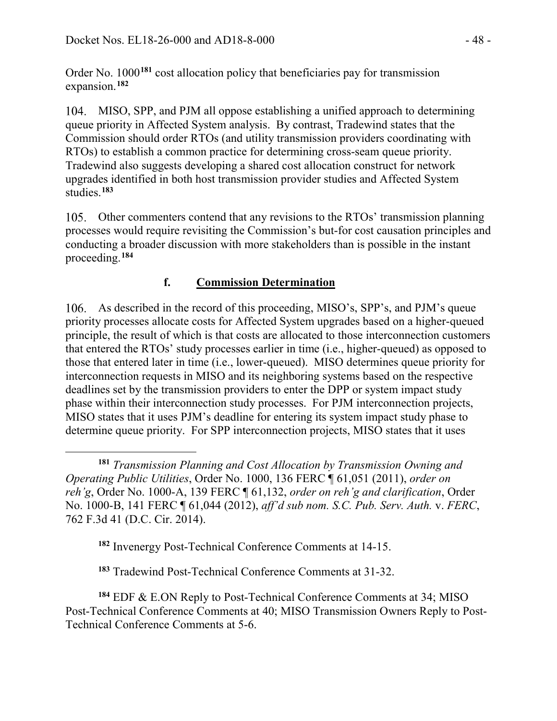Order No. 1000**[181](#page-47-0)** cost allocation policy that beneficiaries pay for transmission expansion.**[182](#page-47-1)**

MISO, SPP, and PJM all oppose establishing a unified approach to determining queue priority in Affected System analysis. By contrast, Tradewind states that the Commission should order RTOs (and utility transmission providers coordinating with RTOs) to establish a common practice for determining cross-seam queue priority. Tradewind also suggests developing a shared cost allocation construct for network upgrades identified in both host transmission provider studies and Affected System studies.**[183](#page-47-2)**

Other commenters contend that any revisions to the RTOs' transmission planning processes would require revisiting the Commission's but-for cost causation principles and conducting a broader discussion with more stakeholders than is possible in the instant proceeding. **[184](#page-47-3)**

# **f. Commission Determination**

As described in the record of this proceeding, MISO's, SPP's, and PJM's queue priority processes allocate costs for Affected System upgrades based on a higher-queued principle, the result of which is that costs are allocated to those interconnection customers that entered the RTOs' study processes earlier in time (i.e., higher-queued) as opposed to those that entered later in time (i.e., lower-queued). MISO determines queue priority for interconnection requests in MISO and its neighboring systems based on the respective deadlines set by the transmission providers to enter the DPP or system impact study phase within their interconnection study processes. For PJM interconnection projects, MISO states that it uses PJM's deadline for entering its system impact study phase to determine queue priority. For SPP interconnection projects, MISO states that it uses

**<sup>182</sup>** Invenergy Post-Technical Conference Comments at 14-15.

**<sup>183</sup>** Tradewind Post-Technical Conference Comments at 31-32.

<span id="page-47-3"></span><span id="page-47-2"></span><span id="page-47-1"></span>**<sup>184</sup>** EDF & E.ON Reply to Post-Technical Conference Comments at 34; MISO Post-Technical Conference Comments at 40; MISO Transmission Owners Reply to Post-Technical Conference Comments at 5-6.

<span id="page-47-0"></span> $\overline{a}$ **<sup>181</sup>** *Transmission Planning and Cost Allocation by Transmission Owning and Operating Public Utilities*, Order No. 1000, 136 FERC ¶ 61,051 (2011), *order on reh'g*, Order No. 1000-A, 139 FERC ¶ 61,132, *order on reh'g and clarification*, Order No. 1000-B, 141 FERC ¶ 61,044 (2012), *aff'd sub nom. S.C. Pub. Serv. Auth.* v. *FERC*, 762 F.3d 41 (D.C. Cir. 2014).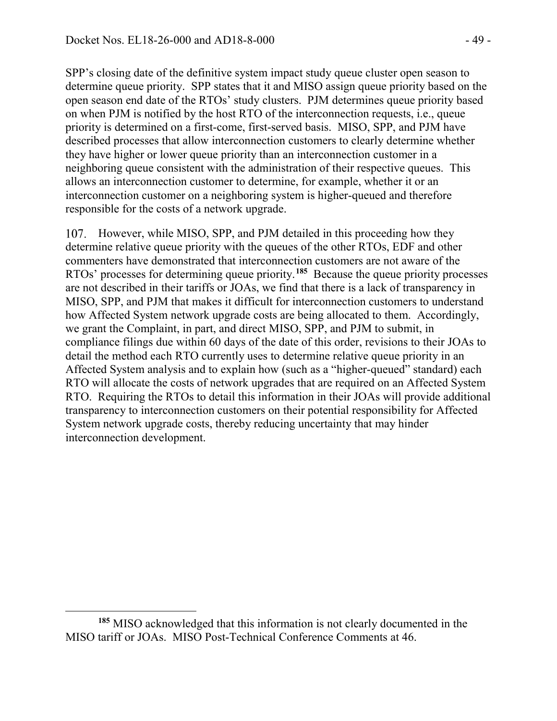SPP's closing date of the definitive system impact study queue cluster open season to determine queue priority. SPP states that it and MISO assign queue priority based on the open season end date of the RTOs' study clusters. PJM determines queue priority based on when PJM is notified by the host RTO of the interconnection requests, i.e., queue priority is determined on a first-come, first-served basis. MISO, SPP, and PJM have described processes that allow interconnection customers to clearly determine whether they have higher or lower queue priority than an interconnection customer in a neighboring queue consistent with the administration of their respective queues. This allows an interconnection customer to determine, for example, whether it or an interconnection customer on a neighboring system is higher-queued and therefore responsible for the costs of a network upgrade.

107. However, while MISO, SPP, and PJM detailed in this proceeding how they determine relative queue priority with the queues of the other RTOs, EDF and other commenters have demonstrated that interconnection customers are not aware of the RTOs' processes for determining queue priority.**[185](#page-48-0)** Because the queue priority processes are not described in their tariffs or JOAs, we find that there is a lack of transparency in MISO, SPP, and PJM that makes it difficult for interconnection customers to understand how Affected System network upgrade costs are being allocated to them. Accordingly, we grant the Complaint, in part, and direct MISO, SPP, and PJM to submit, in compliance filings due within 60 days of the date of this order, revisions to their JOAs to detail the method each RTO currently uses to determine relative queue priority in an Affected System analysis and to explain how (such as a "higher-queued" standard) each RTO will allocate the costs of network upgrades that are required on an Affected System RTO. Requiring the RTOs to detail this information in their JOAs will provide additional transparency to interconnection customers on their potential responsibility for Affected System network upgrade costs, thereby reducing uncertainty that may hinder interconnection development.

 $\overline{a}$ 

<span id="page-48-0"></span>**<sup>185</sup>** MISO acknowledged that this information is not clearly documented in the MISO tariff or JOAs. MISO Post-Technical Conference Comments at 46.